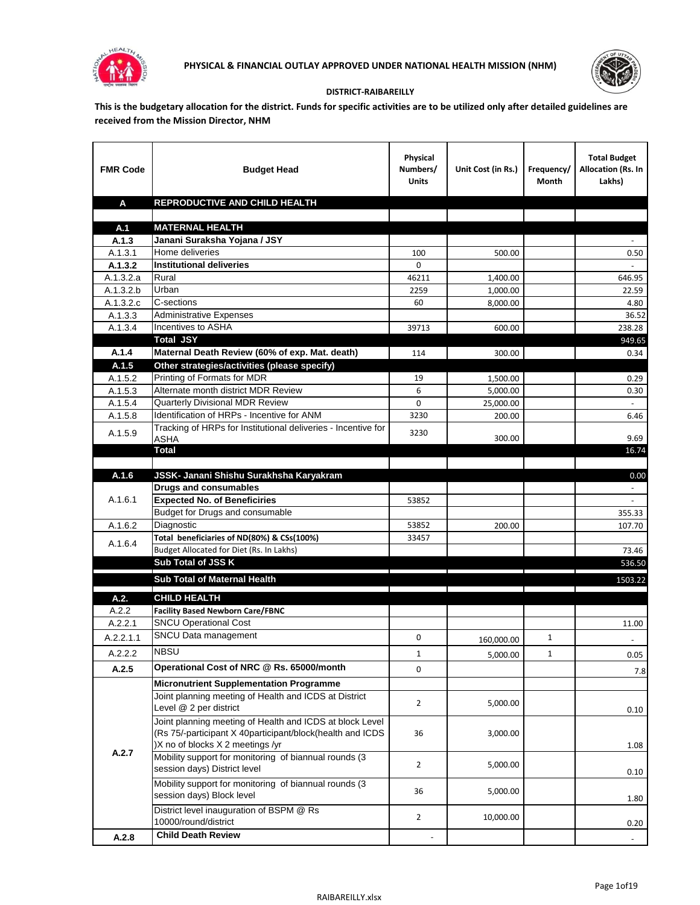



## **DISTRICT-RAIBAREILLY**

**This is the budgetary allocation for the district. Funds for specific activities are to be utilized only after detailed guidelines are received from the Mission Director, NHM**

| <b>FMR Code</b>    | <b>Budget Head</b>                                                     | Physical<br>Numbers/<br><b>Units</b> | Unit Cost (in Rs.) | Frequency/<br>Month | <b>Total Budget</b><br>Allocation (Rs. In<br>Lakhs) |
|--------------------|------------------------------------------------------------------------|--------------------------------------|--------------------|---------------------|-----------------------------------------------------|
| A                  | REPRODUCTIVE AND CHILD HEALTH                                          |                                      |                    |                     |                                                     |
|                    |                                                                        |                                      |                    |                     |                                                     |
| A.1                | <b>MATERNAL HEALTH</b>                                                 |                                      |                    |                     |                                                     |
| A.1.3              | Janani Suraksha Yojana / JSY                                           |                                      |                    |                     |                                                     |
| A.1.3.1            | Home deliveries                                                        | 100                                  | 500.00             |                     | 0.50                                                |
| A.1.3.2            | <b>Institutional deliveries</b>                                        | 0                                    |                    |                     |                                                     |
| A.1.3.2.a          | Rural                                                                  | 46211                                | 1,400.00           |                     | 646.95                                              |
| A.1.3.2.b          | Urban                                                                  | 2259                                 | 1,000.00           |                     | 22.59                                               |
| A.1.3.2.c          | C-sections<br><b>Administrative Expenses</b>                           | 60                                   | 8,000.00           |                     | 4.80                                                |
| A.1.3.3<br>A.1.3.4 | Incentives to ASHA                                                     | 39713                                | 600.00             |                     | 36.52<br>238.28                                     |
|                    | <b>Total JSY</b>                                                       |                                      |                    |                     | 949.65                                              |
| A.1.4              | Maternal Death Review (60% of exp. Mat. death)                         | 114                                  | 300.00             |                     | 0.34                                                |
| A.1.5              | Other strategies/activities (please specify)                           |                                      |                    |                     |                                                     |
| A.1.5.2            | Printing of Formats for MDR                                            | 19                                   | 1.500.00           |                     | 0.29                                                |
| A.1.5.3            | Alternate month district MDR Review                                    | 6                                    | 5,000.00           |                     | 0.30                                                |
| A.1.5.4            | <b>Quarterly Divisional MDR Review</b>                                 | 0                                    | 25,000.00          |                     |                                                     |
| A.1.5.8            | Identification of HRPs - Incentive for ANM                             | 3230                                 | 200.00             |                     | 6.46                                                |
| A.1.5.9            | Tracking of HRPs for Institutional deliveries - Incentive for          | 3230                                 |                    |                     |                                                     |
|                    | <b>ASHA</b>                                                            |                                      | 300.00             |                     | 9.69                                                |
|                    | <b>Total</b>                                                           |                                      |                    |                     | 16.74                                               |
|                    |                                                                        |                                      |                    |                     |                                                     |
| A.1.6              | JSSK- Janani Shishu Surakhsha Karyakram                                |                                      |                    |                     | 0.00                                                |
|                    | <b>Drugs and consumables</b>                                           |                                      |                    |                     |                                                     |
| A.1.6.1            | <b>Expected No. of Beneficiries</b><br>Budget for Drugs and consumable | 53852                                |                    |                     |                                                     |
| A.1.6.2            | Diagnostic                                                             | 53852                                | 200.00             |                     | 355.33<br>107.70                                    |
|                    | Total beneficiaries of ND(80%) & CSs(100%)                             | 33457                                |                    |                     |                                                     |
| A.1.6.4            | Budget Allocated for Diet (Rs. In Lakhs)                               |                                      |                    |                     | 73.46                                               |
|                    | Sub Total of JSS K                                                     |                                      |                    |                     | 536.50                                              |
|                    |                                                                        |                                      |                    |                     |                                                     |
|                    | Sub Total of Maternal Health                                           |                                      |                    |                     | 1503.22                                             |
| A.2.               | <b>CHILD HEALTH</b>                                                    |                                      |                    |                     |                                                     |
| A.2.2              | <b>Facility Based Newborn Care/FBNC</b>                                |                                      |                    |                     |                                                     |
| A.2.2.1            | <b>SNCU Operational Cost</b>                                           |                                      |                    |                     | 11.00                                               |
| A.2.2.1.1          | SNCU Data management                                                   | 0                                    | 160,000.00         | $\mathbf{1}$        |                                                     |
| A.2.2.2            | <b>NBSU</b>                                                            | 1                                    | 5,000.00           | 1                   | 0.05                                                |
| A.2.5              | Operational Cost of NRC @ Rs. 65000/month                              | 0                                    |                    |                     | 7.8                                                 |
|                    | <b>Micronutrient Supplementation Programme</b>                         |                                      |                    |                     |                                                     |
|                    | Joint planning meeting of Health and ICDS at District                  |                                      |                    |                     |                                                     |
|                    | Level @ 2 per district                                                 | $\overline{2}$                       | 5,000.00           |                     | 0.10                                                |
|                    | Joint planning meeting of Health and ICDS at block Level               |                                      |                    |                     |                                                     |
|                    | (Rs 75/-participant X 40participant/block(health and ICDS              | 36                                   | 3,000.00           |                     |                                                     |
|                    | )X no of blocks X 2 meetings /yr                                       |                                      |                    |                     | 1.08                                                |
| A.2.7              | Mobility support for monitoring of biannual rounds (3                  |                                      |                    |                     |                                                     |
|                    | session days) District level                                           | $\overline{2}$                       | 5,000.00           |                     | 0.10                                                |
|                    | Mobility support for monitoring of biannual rounds (3                  |                                      |                    |                     |                                                     |
|                    | session days) Block level                                              | 36                                   | 5,000.00           |                     | 1.80                                                |
|                    | District level inauguration of BSPM @ Rs                               | $\overline{2}$                       | 10,000.00          |                     |                                                     |
|                    | 10000/round/district                                                   |                                      |                    |                     | 0.20                                                |
| A.2.8              | <b>Child Death Review</b>                                              |                                      |                    |                     | $\overline{\phantom{a}}$                            |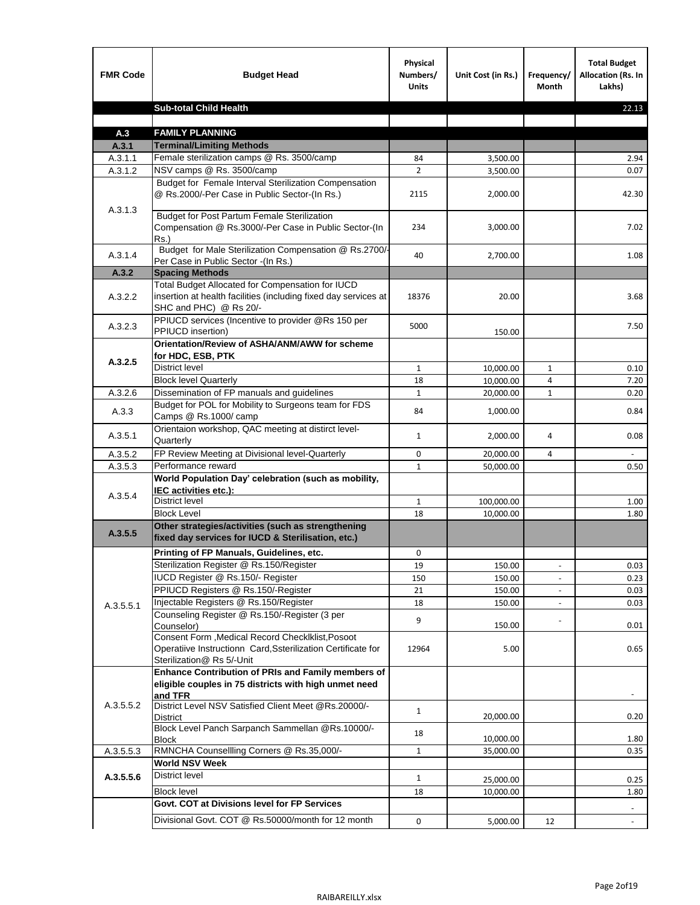| <b>FMR Code</b>    | <b>Budget Head</b>                                                                                                                             | Physical<br>Numbers/<br><b>Units</b> | Unit Cost (in Rs.)   | Frequency/<br>Month      | <b>Total Budget</b><br><b>Allocation (Rs. In</b><br>Lakhs) |
|--------------------|------------------------------------------------------------------------------------------------------------------------------------------------|--------------------------------------|----------------------|--------------------------|------------------------------------------------------------|
|                    | <b>Sub-total Child Health</b>                                                                                                                  |                                      |                      |                          | 22.13                                                      |
|                    |                                                                                                                                                |                                      |                      |                          |                                                            |
| A.3                | <b>FAMILY PLANNING</b>                                                                                                                         |                                      |                      |                          |                                                            |
| A.3.1              | <b>Terminal/Limiting Methods</b><br>Female sterilization camps @ Rs. 3500/camp                                                                 | 84                                   |                      |                          | 2.94                                                       |
| A.3.1.1<br>A.3.1.2 | NSV camps @ Rs. 3500/camp                                                                                                                      | $\overline{2}$                       | 3,500.00<br>3,500.00 |                          | 0.07                                                       |
|                    | Budget for Female Interval Sterilization Compensation                                                                                          |                                      |                      |                          |                                                            |
| A.3.1.3            | @ Rs.2000/-Per Case in Public Sector-(In Rs.)                                                                                                  | 2115                                 | 2,000.00             |                          | 42.30                                                      |
|                    | <b>Budget for Post Partum Female Sterilization</b><br>Compensation @ Rs.3000/-Per Case in Public Sector-(In<br>$Rs.$ )                         | 234                                  | 3,000.00             |                          | 7.02                                                       |
| A.3.1.4            | Budget for Male Sterilization Compensation @ Rs.2700/-<br>Per Case in Public Sector -(In Rs.)                                                  | 40                                   | 2,700.00             |                          | 1.08                                                       |
| A.3.2              | <b>Spacing Methods</b>                                                                                                                         |                                      |                      |                          |                                                            |
| A.3.2.2            | Total Budget Allocated for Compensation for IUCD<br>insertion at health facilities (including fixed day services at<br>SHC and PHC) @ Rs 20/-  | 18376                                | 20.00                |                          | 3.68                                                       |
| A.3.2.3            | PPIUCD services (Incentive to provider @Rs 150 per<br>PPIUCD insertion)                                                                        | 5000                                 | 150.00               |                          | 7.50                                                       |
|                    | Orientation/Review of ASHA/ANM/AWW for scheme<br>for HDC, ESB, PTK                                                                             |                                      |                      |                          |                                                            |
| A.3.2.5            | <b>District level</b>                                                                                                                          | $\mathbf{1}$                         | 10,000.00            | $\mathbf{1}$             | 0.10                                                       |
|                    | <b>Block level Quarterly</b>                                                                                                                   | 18                                   | 10,000.00            | 4                        | 7.20                                                       |
| A.3.2.6            | Dissemination of FP manuals and guidelines                                                                                                     | $\mathbf{1}$                         | 20,000.00            | $\mathbf{1}$             | 0.20                                                       |
| A.3.3              | Budget for POL for Mobility to Surgeons team for FDS<br>Camps @ Rs.1000/camp                                                                   | 84                                   | 1,000.00             |                          | 0.84                                                       |
| A.3.5.1            | Orientaion workshop, QAC meeting at distirct level-<br>Quarterly                                                                               | $\mathbf{1}$                         | 2,000.00             | 4                        | 0.08                                                       |
| A.3.5.2            | FP Review Meeting at Divisional level-Quarterly                                                                                                | 0                                    | 20,000.00            | 4                        |                                                            |
| A.3.5.3            | Performance reward                                                                                                                             | $\mathbf{1}$                         | 50,000.00            |                          | 0.50                                                       |
| A.3.5.4            | World Population Day' celebration (such as mobility,<br>IEC activities etc.):                                                                  |                                      |                      |                          |                                                            |
|                    | District level                                                                                                                                 | $\mathbf{1}$                         | 100,000.00           |                          | 1.00                                                       |
|                    | <b>Block Level</b>                                                                                                                             | 18                                   | 10.000.00            |                          | 1.80                                                       |
| A.3.5.5            | Other strategies/activities (such as strengthening<br>fixed day services for IUCD & Sterilisation, etc.)                                       |                                      |                      |                          |                                                            |
|                    | Printing of FP Manuals, Guidelines, etc.                                                                                                       | 0                                    |                      |                          |                                                            |
|                    | Sterilization Register @ Rs.150/Register                                                                                                       | 19                                   | 150.00               | $\overline{\phantom{a}}$ | 0.03                                                       |
|                    | IUCD Register @ Rs.150/- Register                                                                                                              | 150                                  | 150.00               |                          | 0.23                                                       |
|                    | PPIUCD Registers @ Rs.150/-Register                                                                                                            | 21                                   | 150.00               |                          | 0.03                                                       |
| A.3.5.5.1          | Injectable Registers @ Rs.150/Register                                                                                                         | 18                                   | 150.00               |                          | 0.03                                                       |
|                    | Counseling Register @ Rs.150/-Register (3 per<br>Counselor)                                                                                    | 9                                    | 150.00               |                          | 0.01                                                       |
|                    | Consent Form , Medical Record CheckIklist, Posoot<br>Operatiive Instructionn Card, Ssterilization Certificate for<br>Sterilization@ Rs 5/-Unit | 12964                                | 5.00                 |                          | 0.65                                                       |
|                    | Enhance Contribution of PRIs and Family members of<br>eligible couples in 75 districts with high unmet need<br>and TFR                         |                                      |                      |                          |                                                            |
| A.3.5.5.2          | District Level NSV Satisfied Client Meet @Rs.20000/-<br>District                                                                               | $\mathbf{1}$                         | 20,000.00            |                          | 0.20                                                       |
|                    | Block Level Panch Sarpanch Sammellan @Rs.10000/-<br>Block                                                                                      | 18                                   | 10,000.00            |                          | 1.80                                                       |
| A.3.5.5.3          | RMNCHA Counsellling Corners @ Rs.35,000/-                                                                                                      | $\mathbf{1}$                         | 35,000.00            |                          | 0.35                                                       |
|                    | <b>World NSV Week</b>                                                                                                                          |                                      |                      |                          |                                                            |
| A.3.5.5.6          | District level                                                                                                                                 | $\mathbf{1}$                         | 25,000.00            |                          | 0.25                                                       |
|                    | <b>Block level</b>                                                                                                                             | 18                                   | 10,000.00            |                          | 1.80                                                       |
|                    | Govt. COT at Divisions level for FP Services                                                                                                   |                                      |                      |                          |                                                            |
|                    | Divisional Govt. COT @ Rs.50000/month for 12 month                                                                                             | 0                                    | 5,000.00             | 12                       | $\blacksquare$                                             |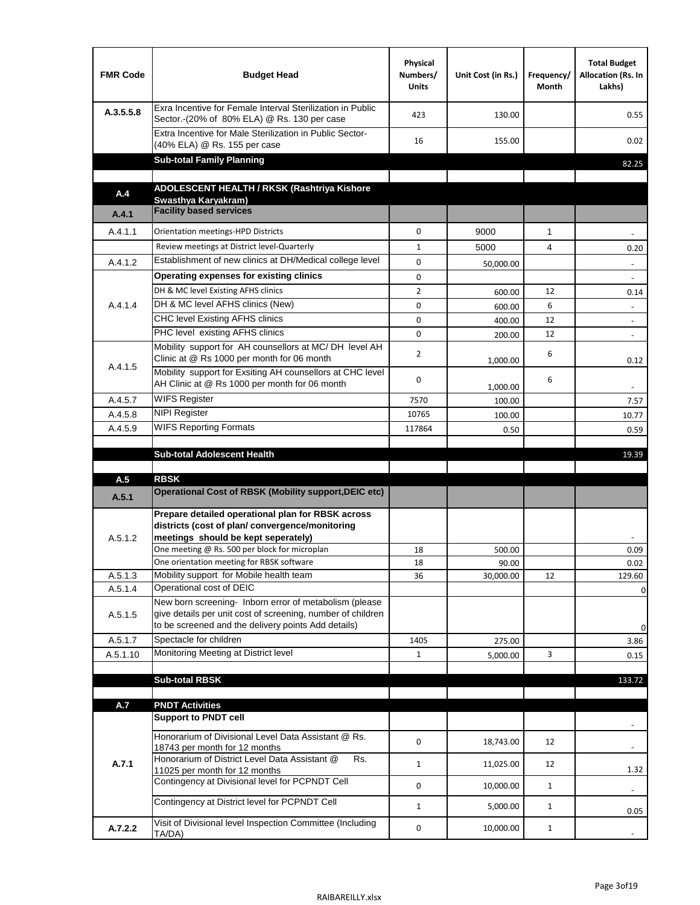| <b>FMR Code</b> | <b>Budget Head</b>                                                                                                                                                           | Physical<br>Numbers/<br><b>Units</b> | Unit Cost (in Rs.) | Frequency/<br>Month | <b>Total Budget</b><br>Allocation (Rs. In<br>Lakhs) |
|-----------------|------------------------------------------------------------------------------------------------------------------------------------------------------------------------------|--------------------------------------|--------------------|---------------------|-----------------------------------------------------|
| A.3.5.5.8       | Exra Incentive for Female Interval Sterilization in Public<br>Sector.-(20% of 80% ELA) @ Rs. 130 per case                                                                    | 423                                  | 130.00             |                     | 0.55                                                |
|                 | Extra Incentive for Male Sterilization in Public Sector-<br>(40% ELA) @ Rs. 155 per case                                                                                     | 16                                   | 155.00             |                     | 0.02                                                |
|                 | <b>Sub-total Family Planning</b>                                                                                                                                             |                                      |                    |                     | 82.25                                               |
|                 | ADOLESCENT HEALTH / RKSK (Rashtriya Kishore                                                                                                                                  |                                      |                    |                     |                                                     |
| A.4             | Swasthya Karyakram)                                                                                                                                                          |                                      |                    |                     |                                                     |
| A.4.1           | <b>Facility based services</b>                                                                                                                                               |                                      |                    |                     |                                                     |
| A.4.1.1         | Orientation meetings-HPD Districts                                                                                                                                           | $\Omega$                             | 9000               | $\mathbf{1}$        |                                                     |
|                 | Review meetings at District level-Quarterly                                                                                                                                  | $\mathbf{1}$                         | 5000               | 4                   | 0.20                                                |
| A.4.1.2         | Establishment of new clinics at DH/Medical college level                                                                                                                     | $\Omega$                             | 50,000.00          |                     |                                                     |
|                 | Operating expenses for existing clinics                                                                                                                                      | 0                                    |                    |                     |                                                     |
|                 | DH & MC level Existing AFHS clinics                                                                                                                                          | $\overline{2}$                       | 600.00             | 12                  | 0.14                                                |
| A.4.1.4         | DH & MC level AFHS clinics (New)                                                                                                                                             | 0                                    | 600.00             | 6                   | $\overline{\phantom{a}}$                            |
|                 | CHC level Existing AFHS clinics                                                                                                                                              | 0                                    | 400.00             | 12                  | $\overline{\phantom{a}}$                            |
|                 | PHC level existing AFHS clinics                                                                                                                                              | $\Omega$                             | 200.00             | 12                  | $\sim$                                              |
| A.4.1.5         | Mobility support for AH counsellors at MC/DH level AH<br>Clinic at @ Rs 1000 per month for 06 month                                                                          | 2                                    | 1,000.00           | 6                   | 0.12                                                |
|                 | Mobility support for Exsiting AH counsellors at CHC level<br>AH Clinic at @ Rs 1000 per month for 06 month                                                                   | 0                                    | 1,000.00           | 6                   |                                                     |
| A.4.5.7         | <b>WIFS Register</b>                                                                                                                                                         | 7570                                 | 100.00             |                     | 7.57                                                |
| A.4.5.8         | <b>NIPI Register</b>                                                                                                                                                         | 10765                                | 100.00             |                     | 10.77                                               |
| A.4.5.9         | <b>WIFS Reporting Formats</b>                                                                                                                                                | 117864                               | 0.50               |                     | 0.59                                                |
|                 |                                                                                                                                                                              |                                      |                    |                     |                                                     |
|                 | <b>Sub-total Adolescent Health</b>                                                                                                                                           |                                      |                    |                     | 19.39                                               |
| A.5             | <b>RBSK</b>                                                                                                                                                                  |                                      |                    |                     |                                                     |
| A.5.1           | <b>Operational Cost of RBSK (Mobility support, DEIC etc)</b>                                                                                                                 |                                      |                    |                     |                                                     |
| A.5.1.2         | Prepare detailed operational plan for RBSK across<br>districts (cost of plan/convergence/monitoring<br>meetings should be kept seperately)                                   |                                      |                    |                     |                                                     |
|                 | One meeting @ Rs. 500 per block for microplan                                                                                                                                | 18                                   | 500.00             |                     | 0.09                                                |
|                 | One orientation meeting for RBSK software                                                                                                                                    | 18                                   | 90.00              |                     | 0.02                                                |
| A.5.1.3         | Mobility support for Mobile health team                                                                                                                                      | 36                                   | 30,000.00          | 12                  | 129.60                                              |
| A.5.1.4         | Operational cost of DEIC                                                                                                                                                     |                                      |                    |                     | 0                                                   |
| A.5.1.5         | New born screening- Inborn error of metabolism (please<br>give details per unit cost of screening, number of children<br>to be screened and the delivery points Add details) |                                      |                    |                     | 0                                                   |
| A.5.1.7         | Spectacle for children                                                                                                                                                       | 1405                                 | 275.00             |                     | 3.86                                                |
| A.5.1.10        | Monitoring Meeting at District level                                                                                                                                         | $\mathbf{1}$                         | 5,000.00           | 3                   | 0.15                                                |
|                 |                                                                                                                                                                              |                                      |                    |                     |                                                     |
|                 | <b>Sub-total RBSK</b>                                                                                                                                                        |                                      |                    |                     | 133.72                                              |
| A.7             | <b>PNDT Activities</b>                                                                                                                                                       |                                      |                    |                     |                                                     |
|                 | <b>Support to PNDT cell</b>                                                                                                                                                  |                                      |                    |                     |                                                     |
|                 | Honorarium of Divisional Level Data Assistant @ Rs.                                                                                                                          | 0                                    | 18,743.00          | 12                  |                                                     |
| A.7.1           | 18743 per month for 12 months<br>Honorarium of District Level Data Assistant @<br>Rs.                                                                                        | $\mathbf{1}$                         | 11,025.00          | 12                  |                                                     |
|                 | 11025 per month for 12 months<br>Contingency at Divisional level for PCPNDT Cell                                                                                             | 0                                    | 10,000.00          | $\mathbf{1}$        | 1.32<br>$\overline{\phantom{a}}$                    |
|                 | Contingency at District level for PCPNDT Cell                                                                                                                                | $\mathbf{1}$                         | 5,000.00           | $\mathbf{1}$        | 0.05                                                |
| A.7.2.2         | Visit of Divisional level Inspection Committee (Including<br>TA/DA)                                                                                                          | 0                                    | 10,000.00          | $\mathbf{1}$        |                                                     |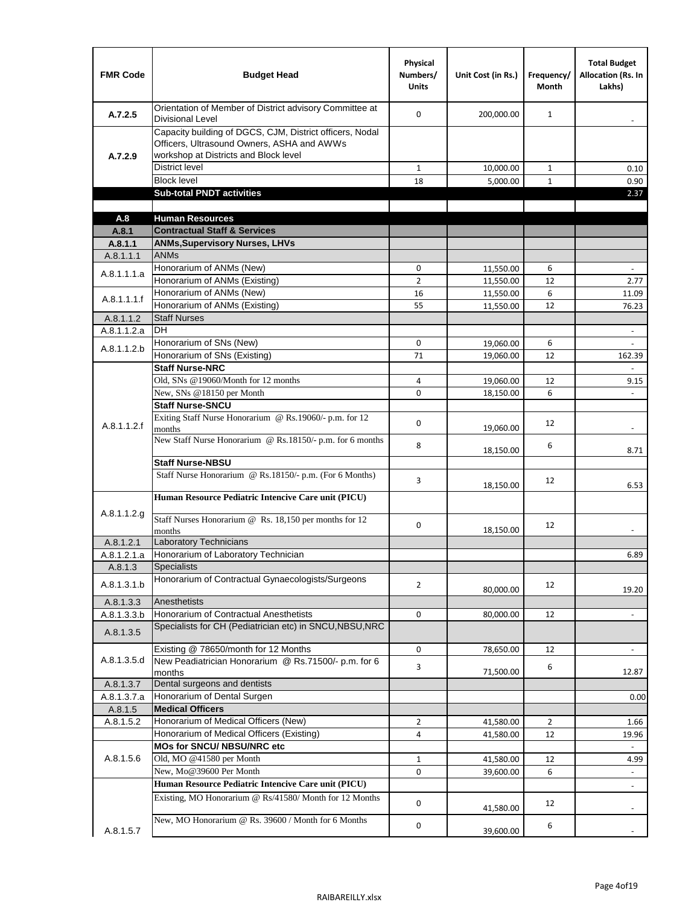| <b>FMR Code</b>          | <b>Budget Head</b>                                                                                                                              | Physical<br>Numbers/<br><b>Units</b> | Unit Cost (in Rs.)     | Frequency/<br><b>Month</b> | <b>Total Budget</b><br><b>Allocation (Rs. In</b><br>Lakhs) |
|--------------------------|-------------------------------------------------------------------------------------------------------------------------------------------------|--------------------------------------|------------------------|----------------------------|------------------------------------------------------------|
| A.7.2.5                  | Orientation of Member of District advisory Committee at<br><b>Divisional Level</b>                                                              | $\Omega$                             | 200,000.00             | $\mathbf{1}$               | $\qquad \qquad \blacksquare$                               |
| A.7.2.9                  | Capacity building of DGCS, CJM, District officers, Nodal<br>Officers, Ultrasound Owners, ASHA and AWWs<br>workshop at Districts and Block level |                                      |                        |                            |                                                            |
|                          | <b>District level</b>                                                                                                                           | $\mathbf{1}$                         | 10,000.00              | 1                          | 0.10                                                       |
|                          | <b>Block level</b>                                                                                                                              | 18                                   | 5,000.00               | $\mathbf{1}$               | 0.90                                                       |
|                          | <b>Sub-total PNDT activities</b>                                                                                                                |                                      |                        |                            | 2.37                                                       |
|                          |                                                                                                                                                 |                                      |                        |                            |                                                            |
| A.8                      | <b>Human Resources</b>                                                                                                                          |                                      |                        |                            |                                                            |
| A.8.1                    | <b>Contractual Staff &amp; Services</b>                                                                                                         |                                      |                        |                            |                                                            |
| A.8.1.1<br>A.8.1.1.1     | <b>ANMs, Supervisory Nurses, LHVs</b><br><b>ANMs</b>                                                                                            |                                      |                        |                            |                                                            |
|                          | Honorarium of ANMs (New)                                                                                                                        | 0                                    |                        | 6                          | $\blacksquare$                                             |
| A.8.1.1.1.a              | Honorarium of ANMs (Existing)                                                                                                                   | $\overline{2}$                       | 11,550.00<br>11,550.00 | 12                         | 2.77                                                       |
|                          | Honorarium of ANMs (New)                                                                                                                        | 16                                   | 11,550.00              | 6                          | 11.09                                                      |
| A.8.1.1.1.f              | Honorarium of ANMs (Existing)                                                                                                                   | 55                                   | 11,550.00              | 12                         | 76.23                                                      |
| A.8.1.1.2                | <b>Staff Nurses</b>                                                                                                                             |                                      |                        |                            |                                                            |
| A.8.1.1.2.a              | <b>DH</b>                                                                                                                                       |                                      |                        |                            | $\blacksquare$                                             |
|                          | Honorarium of SNs (New)                                                                                                                         | 0                                    | 19,060.00              | 6                          |                                                            |
| A.8.1.1.2.b              | Honorarium of SNs (Existing)                                                                                                                    | 71                                   | 19.060.00              | 12                         | 162.39                                                     |
|                          | <b>Staff Nurse-NRC</b>                                                                                                                          |                                      |                        |                            | $\overline{\phantom{a}}$                                   |
|                          | Old, SNs @19060/Month for 12 months                                                                                                             | 4                                    | 19,060.00              | 12                         | 9.15                                                       |
|                          | New, SNs @18150 per Month                                                                                                                       | 0                                    | 18,150.00              | 6                          |                                                            |
|                          | <b>Staff Nurse-SNCU</b>                                                                                                                         |                                      |                        |                            |                                                            |
| A.8.1.1.2.f              | Exiting Staff Nurse Honorarium @ Rs.19060/- p.m. for 12<br>months                                                                               | $\Omega$                             | 19,060.00              | 12                         | -                                                          |
|                          | New Staff Nurse Honorarium @ Rs.18150/- p.m. for 6 months                                                                                       | 8                                    | 18,150.00              | 6                          | 8.71                                                       |
|                          | <b>Staff Nurse-NBSU</b>                                                                                                                         |                                      |                        |                            |                                                            |
|                          | Staff Nurse Honorarium @ Rs.18150/- p.m. (For 6 Months)                                                                                         | 3                                    | 18,150.00              | 12                         | 6.53                                                       |
| A.8.1.1.2.g              | Human Resource Pediatric Intencive Care unit (PICU)                                                                                             |                                      |                        |                            |                                                            |
|                          | Staff Nurses Honorarium @ Rs. 18,150 per months for 12<br>months                                                                                | 0                                    | 18,150.00              | 12                         |                                                            |
| A.8.1.2.1                | <b>Laboratory Technicians</b>                                                                                                                   |                                      |                        |                            |                                                            |
| A.8.1.2.1.a              | Honorarium of Laboratory Technician                                                                                                             |                                      |                        |                            | 6.89                                                       |
| A.8.1.3                  | <b>Specialists</b>                                                                                                                              |                                      |                        |                            |                                                            |
| A.8.1.3.1.b              | Honorarium of Contractual Gynaecologists/Surgeons                                                                                               | $\overline{2}$                       | 80,000.00              | 12                         | 19.20                                                      |
| A.8.1.3.3                | Anesthetists                                                                                                                                    |                                      |                        |                            |                                                            |
| A.8.1.3.3.b<br>A.8.1.3.5 | Honorarium of Contractual Anesthetists<br>Specialists for CH (Pediatrician etc) in SNCU, NBSU, NRC                                              | 0                                    | 80,000.00              | 12                         | $\blacksquare$                                             |
|                          | Existing @ 78650/month for 12 Months                                                                                                            | 0                                    | 78,650.00              | 12                         | $\blacksquare$                                             |
| A.8.1.3.5.d              | New Peadiatrician Honorarium @ Rs.71500/- p.m. for 6<br>months                                                                                  | 3                                    | 71,500.00              | 6                          | 12.87                                                      |
| A.8.1.3.7                | Dental surgeons and dentists                                                                                                                    |                                      |                        |                            |                                                            |
| A.8.1.3.7.a              | Honorarium of Dental Surgen                                                                                                                     |                                      |                        |                            | 0.00                                                       |
| A.8.1.5                  | <b>Medical Officers</b>                                                                                                                         |                                      |                        |                            |                                                            |
| A.8.1.5.2                | Honorarium of Medical Officers (New)                                                                                                            | $\overline{2}$                       | 41,580.00              | $\overline{2}$             | 1.66                                                       |
|                          | Honorarium of Medical Officers (Existing)                                                                                                       | 4                                    | 41,580.00              | 12                         | 19.96                                                      |
|                          | MOs for SNCU/ NBSU/NRC etc                                                                                                                      |                                      |                        |                            |                                                            |
| A.8.1.5.6                | Old, MO @41580 per Month                                                                                                                        | $\mathbf{1}$                         | 41,580.00              | 12                         | 4.99                                                       |
|                          | New, Mo@39600 Per Month                                                                                                                         | 0                                    | 39,600.00              | 6                          | $\blacksquare$                                             |
|                          | Human Resource Pediatric Intencive Care unit (PICU)                                                                                             |                                      |                        |                            |                                                            |
|                          | Existing, MO Honorarium @ Rs/41580/ Month for 12 Months                                                                                         | $\mathbf 0$                          | 41,580.00              | 12                         |                                                            |
| A.8.1.5.7                | New, MO Honorarium @ Rs. 39600 / Month for 6 Months                                                                                             | 0                                    | 39,600.00              | 6                          |                                                            |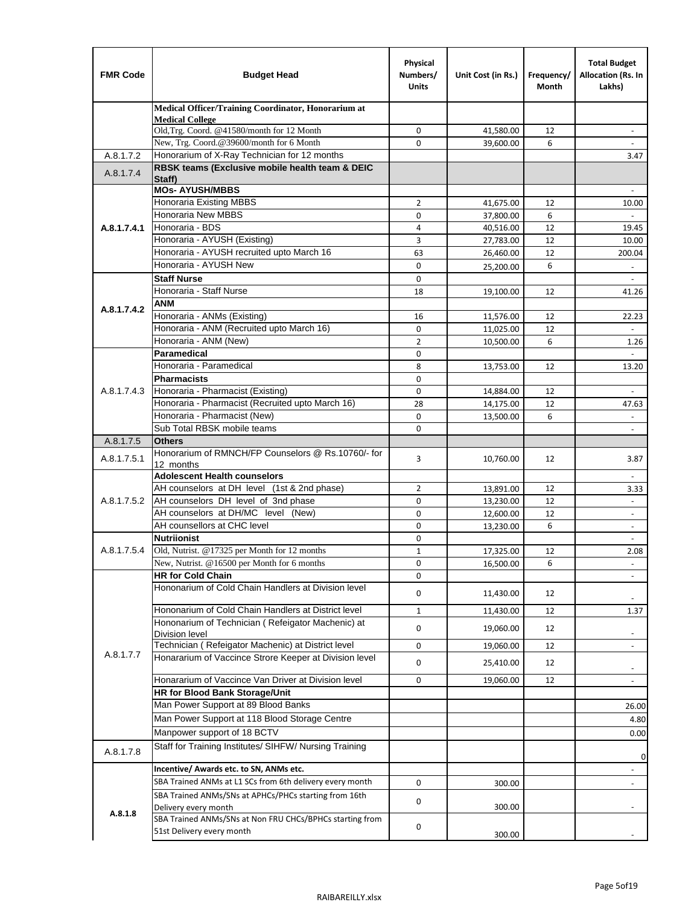| <b>FMR Code</b> | <b>Budget Head</b>                                                                                           | Physical<br>Numbers/<br><b>Units</b> | Unit Cost (in Rs.) | Frequency/<br>Month | <b>Total Budget</b><br>Allocation (Rs. In<br>Lakhs) |
|-----------------|--------------------------------------------------------------------------------------------------------------|--------------------------------------|--------------------|---------------------|-----------------------------------------------------|
|                 | Medical Officer/Training Coordinator, Honorarium at                                                          |                                      |                    |                     |                                                     |
|                 | <b>Medical College</b><br>Old, Trg. Coord. @41580/month for 12 Month                                         | 0                                    | 41,580.00          | 12                  |                                                     |
|                 | New, Trg. Coord.@39600/month for 6 Month                                                                     | $\Omega$                             | 39,600.00          | 6                   |                                                     |
| A.8.1.7.2       | Honorarium of X-Ray Technician for 12 months                                                                 |                                      |                    |                     | 3.47                                                |
| A.8.1.7.4       | RBSK teams (Exclusive mobile health team & DEIC                                                              |                                      |                    |                     |                                                     |
|                 | Staff)<br><b>MOs- AYUSH/MBBS</b>                                                                             |                                      |                    |                     |                                                     |
|                 | Honoraria Existing MBBS                                                                                      | $\overline{2}$                       | 41,675.00          | 12                  | 10.00                                               |
|                 | Honoraria New MBBS                                                                                           | 0                                    | 37,800.00          | 6                   |                                                     |
| A.8.1.7.4.1     | Honoraria - BDS                                                                                              | 4                                    | 40,516.00          | 12                  | 19.45                                               |
|                 | Honoraria - AYUSH (Existing)                                                                                 | 3                                    | 27,783.00          | 12                  | 10.00                                               |
|                 | Honoraria - AYUSH recruited upto March 16                                                                    | 63                                   | 26,460.00          | 12                  | 200.04                                              |
|                 | Honoraria - AYUSH New                                                                                        | $\mathbf 0$                          | 25,200.00          | 6                   | $\frac{1}{2}$                                       |
|                 | <b>Staff Nurse</b>                                                                                           | $\mathbf 0$                          |                    |                     | $\omega$                                            |
|                 | Honoraria - Staff Nurse                                                                                      | 18                                   | 19,100.00          | 12                  | 41.26                                               |
| A.8.1.7.4.2     | ANM                                                                                                          |                                      |                    |                     |                                                     |
|                 | Honoraria - ANMs (Existing)                                                                                  | 16                                   | 11,576.00          | 12                  | 22.23                                               |
|                 | Honoraria - ANM (Recruited upto March 16)                                                                    | $\mathbf 0$                          | 11,025.00          | 12                  |                                                     |
|                 | Honoraria - ANM (New)<br><b>Paramedical</b>                                                                  | $\overline{2}$                       | 10,500.00          | 6                   | 1.26                                                |
|                 | Honoraria - Paramedical                                                                                      | $\mathbf 0$<br>8                     |                    | 12                  | $\omega$                                            |
|                 | <b>Pharmacists</b>                                                                                           | $\mathbf 0$                          | 13,753.00          |                     | 13.20                                               |
| A.8.1.7.4.3     | Honoraria - Pharmacist (Existing)                                                                            | $\mathbf 0$                          | 14,884.00          | 12                  | $\blacksquare$                                      |
|                 | Honoraria - Pharmacist (Recruited upto March 16)                                                             | 28                                   | 14,175.00          | 12                  | 47.63                                               |
|                 | Honoraria - Pharmacist (New)                                                                                 | $\mathbf 0$                          | 13,500.00          | 6                   | $\omega$                                            |
|                 | Sub Total RBSK mobile teams                                                                                  | $\Omega$                             |                    |                     | $\overline{\phantom{a}}$                            |
| A.8.1.7.5       | <b>Others</b>                                                                                                |                                      |                    |                     |                                                     |
| A.8.1.7.5.1     | Honorarium of RMNCH/FP Counselors @ Rs.10760/- for<br>12 months                                              | 3                                    | 10,760.00          | 12                  | 3.87                                                |
|                 | <b>Adolescent Health counselors</b>                                                                          |                                      |                    |                     | $\blacksquare$                                      |
|                 | AH counselors at DH level (1st & 2nd phase)                                                                  | 2                                    | 13,891.00          | 12                  | 3.33                                                |
| A.8.1.7.5.2     | AH counselors DH level of 3nd phase                                                                          | $\mathbf 0$                          | 13,230.00          | 12                  | $\overline{\phantom{a}}$                            |
|                 | AH counselors at DH/MC level (New)                                                                           | 0                                    | 12,600.00          | 12                  | $\overline{\phantom{a}}$                            |
|                 | AH counsellors at CHC level                                                                                  | $\mathbf 0$                          | 13,230.00          | 6                   | $\omega$                                            |
|                 | <b>Nutriionist</b>                                                                                           | $\mathbf 0$                          |                    |                     | $\overline{\phantom{a}}$                            |
| A.8.1.7.5.4     | Old, Nutrist. @17325 per Month for 12 months                                                                 | $\mathbf{1}$                         | 17,325.00          | 12                  | 2.08                                                |
|                 | New, Nutrist. @16500 per Month for 6 months                                                                  | 0                                    | 16,500.00          | 6                   |                                                     |
|                 | <b>HR for Cold Chain</b>                                                                                     | 0                                    |                    |                     |                                                     |
|                 | Hononarium of Cold Chain Handlers at Division level                                                          | 0                                    | 11,430.00          | 12                  |                                                     |
|                 | Hononarium of Cold Chain Handlers at District level                                                          | 1                                    | 11,430.00          | 12                  | 1.37                                                |
|                 | Hononarium of Technician (Refeigator Machenic) at                                                            | 0                                    | 19,060.00          | 12                  |                                                     |
|                 | <b>Division level</b>                                                                                        |                                      |                    |                     |                                                     |
| A.8.1.7.7       | Technician (Refeigator Machenic) at District level<br>Honararium of Vaccince Strore Keeper at Division level | 0                                    | 19,060.00          | 12                  | $\overline{\phantom{a}}$                            |
|                 |                                                                                                              | 0                                    | 25,410.00          | 12                  | $\overline{\phantom{a}}$                            |
|                 | Honararium of Vaccince Van Driver at Division level                                                          | 0                                    | 19,060.00          | 12                  | $\blacksquare$                                      |
|                 | <b>HR for Blood Bank Storage/Unit</b>                                                                        |                                      |                    |                     |                                                     |
|                 | Man Power Support at 89 Blood Banks                                                                          |                                      |                    |                     | 26.00                                               |
|                 | Man Power Support at 118 Blood Storage Centre                                                                |                                      |                    |                     | 4.80                                                |
|                 | Manpower support of 18 BCTV                                                                                  |                                      |                    |                     | 0.00                                                |
| A.8.1.7.8       | Staff for Training Institutes/ SIHFW/ Nursing Training                                                       |                                      |                    |                     | 0                                                   |
|                 | Incentive/ Awards etc. to SN, ANMs etc.                                                                      |                                      |                    |                     |                                                     |
|                 | SBA Trained ANMs at L1 SCs from 6th delivery every month                                                     | 0                                    | 300.00             |                     | $\overline{\phantom{a}}$                            |
|                 | SBA Trained ANMs/SNs at APHCs/PHCs starting from 16th                                                        | 0                                    |                    |                     |                                                     |
| A.8.1.8         | Delivery every month<br>SBA Trained ANMs/SNs at Non FRU CHCs/BPHCs starting from                             |                                      | 300.00             |                     |                                                     |
|                 | 51st Delivery every month                                                                                    | 0                                    | 300.00             |                     |                                                     |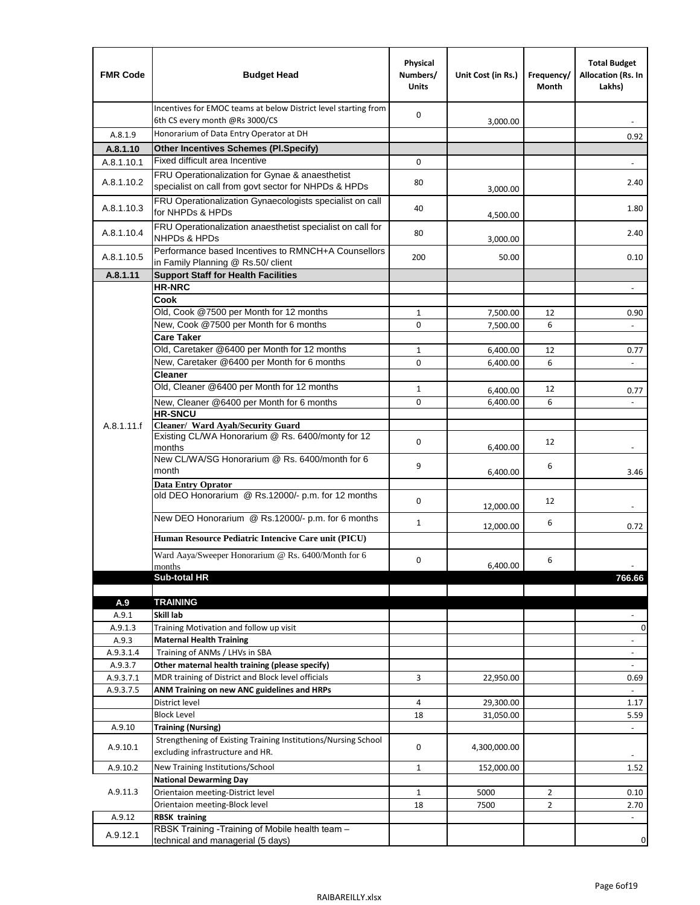| <b>FMR Code</b> | <b>Budget Head</b>                                                                                       | Physical<br>Numbers/<br><b>Units</b> | Unit Cost (in Rs.) | Frequency/<br>Month | <b>Total Budget</b><br>Allocation (Rs. In<br>Lakhs) |
|-----------------|----------------------------------------------------------------------------------------------------------|--------------------------------------|--------------------|---------------------|-----------------------------------------------------|
|                 | Incentives for EMOC teams at below District level starting from<br>6th CS every month @Rs 3000/CS        | 0                                    | 3,000.00           |                     |                                                     |
| A.8.1.9         | Honorarium of Data Entry Operator at DH                                                                  |                                      |                    |                     | 0.92                                                |
| A.8.1.10        | <b>Other Incentives Schemes (Pl.Specify)</b>                                                             |                                      |                    |                     |                                                     |
| A.8.1.10.1      | Fixed difficult area Incentive                                                                           | 0                                    |                    |                     |                                                     |
| A.8.1.10.2      | FRU Operationalization for Gynae & anaesthetist<br>specialist on call from govt sector for NHPDs & HPDs  | 80                                   | 3,000.00           |                     | 2.40                                                |
| A.8.1.10.3      | FRU Operationalization Gynaecologists specialist on call<br>for NHPDs & HPDs                             | 40                                   | 4,500.00           |                     | 1.80                                                |
| A.8.1.10.4      | FRU Operationalization anaesthetist specialist on call for<br>NHPDs & HPDs                               | 80                                   | 3,000.00           |                     | 2.40                                                |
| A.8.1.10.5      | Performance based Incentives to RMNCH+A Counsellors<br>in Family Planning @ Rs.50/ client                | 200                                  | 50.00              |                     | 0.10                                                |
| A.8.1.11        | <b>Support Staff for Health Facilities</b>                                                               |                                      |                    |                     |                                                     |
|                 | <b>HR-NRC</b>                                                                                            |                                      |                    |                     | $\overline{\phantom{m}}$                            |
|                 | Cook                                                                                                     |                                      |                    |                     |                                                     |
|                 | Old, Cook @7500 per Month for 12 months                                                                  | 1                                    | 7,500.00           | 12                  | 0.90                                                |
|                 | New, Cook @7500 per Month for 6 months<br><b>Care Taker</b>                                              | 0                                    | 7,500.00           | 6                   | $\overline{\phantom{a}}$                            |
|                 | Old, Caretaker @6400 per Month for 12 months                                                             | $\mathbf{1}$                         | 6,400.00           | 12                  | 0.77                                                |
|                 | New, Caretaker @6400 per Month for 6 months                                                              | $\Omega$                             | 6,400.00           | 6                   |                                                     |
|                 | <b>Cleaner</b>                                                                                           |                                      |                    |                     |                                                     |
|                 | Old, Cleaner @6400 per Month for 12 months                                                               | 1                                    | 6,400.00           | 12                  | 0.77                                                |
|                 | New, Cleaner @6400 per Month for 6 months                                                                | 0                                    | 6,400.00           | 6                   |                                                     |
|                 | <b>HR-SNCU</b>                                                                                           |                                      |                    |                     |                                                     |
| A.8.1.11.f      | Cleaner/ Ward Ayah/Security Guard                                                                        |                                      |                    |                     |                                                     |
|                 | Existing CL/WA Honorarium @ Rs. 6400/monty for 12<br>months                                              | 0                                    | 6,400.00           | 12                  |                                                     |
|                 | New CL/WA/SG Honorarium @ Rs. 6400/month for 6<br>month                                                  | 9                                    | 6,400.00           | 6                   | 3.46                                                |
|                 | <b>Data Entry Oprator</b><br>old DEO Honorarium @ Rs.12000/- p.m. for 12 months                          | $\mathbf 0$                          |                    | 12                  |                                                     |
|                 |                                                                                                          |                                      | 12,000.00          |                     |                                                     |
|                 | New DEO Honorarium @ Rs.12000/- p.m. for 6 months<br>Human Resource Pediatric Intencive Care unit (PICU) | $\mathbf{1}$                         | 12,000.00          | 6                   | 0.72                                                |
|                 |                                                                                                          |                                      |                    |                     |                                                     |
|                 | Ward Aaya/Sweeper Honorarium @ Rs. 6400/Month for 6<br>months                                            | 0                                    | 6,400.00           | 6                   |                                                     |
|                 | Sub-total HR                                                                                             |                                      |                    |                     | 766.66                                              |
|                 |                                                                                                          |                                      |                    |                     |                                                     |
| A.9             | <b>TRAINING</b>                                                                                          |                                      |                    |                     |                                                     |
| A.9.1           | Skill lab                                                                                                |                                      |                    |                     |                                                     |
| A.9.1.3         | Training Motivation and follow up visit                                                                  |                                      |                    |                     | 0                                                   |
| A.9.3           | <b>Maternal Health Training</b>                                                                          |                                      |                    |                     | $\overline{\phantom{a}}$                            |
| A.9.3.1.4       | Training of ANMs / LHVs in SBA                                                                           |                                      |                    |                     | $\frac{1}{2}$                                       |
| A.9.3.7         | Other maternal health training (please specify)                                                          |                                      |                    |                     | $\overline{\phantom{a}}$                            |
| A.9.3.7.1       | MDR training of District and Block level officials                                                       | 3                                    | 22,950.00          |                     | 0.69                                                |
| A.9.3.7.5       | ANM Training on new ANC guidelines and HRPs<br>District level                                            | 4                                    | 29,300.00          |                     | ä,                                                  |
|                 | <b>Block Level</b>                                                                                       | 18                                   | 31,050.00          |                     | 1.17<br>5.59                                        |
| A.9.10          | <b>Training (Nursing)</b>                                                                                |                                      |                    |                     | $\overline{\phantom{a}}$                            |
| A.9.10.1        | Strengthening of Existing Training Institutions/Nursing School<br>excluding infrastructure and HR.       | 0                                    | 4,300,000.00       |                     |                                                     |
|                 | New Training Institutions/School                                                                         | 1                                    |                    |                     | 1.52                                                |
| A.9.10.2        | <b>National Dewarming Day</b>                                                                            |                                      | 152,000.00         |                     |                                                     |
| A.9.11.3        | Orientaion meeting-District level                                                                        | 1                                    | 5000               | $\overline{2}$      | 0.10                                                |
|                 | Orientaion meeting-Block level                                                                           | 18                                   | 7500               | $\overline{2}$      | 2.70                                                |
| A.9.12          | <b>RBSK training</b>                                                                                     |                                      |                    |                     | $\overline{\phantom{a}}$                            |
| A.9.12.1        | RBSK Training -Training of Mobile health team -<br>technical and managerial (5 days)                     |                                      |                    |                     | 0                                                   |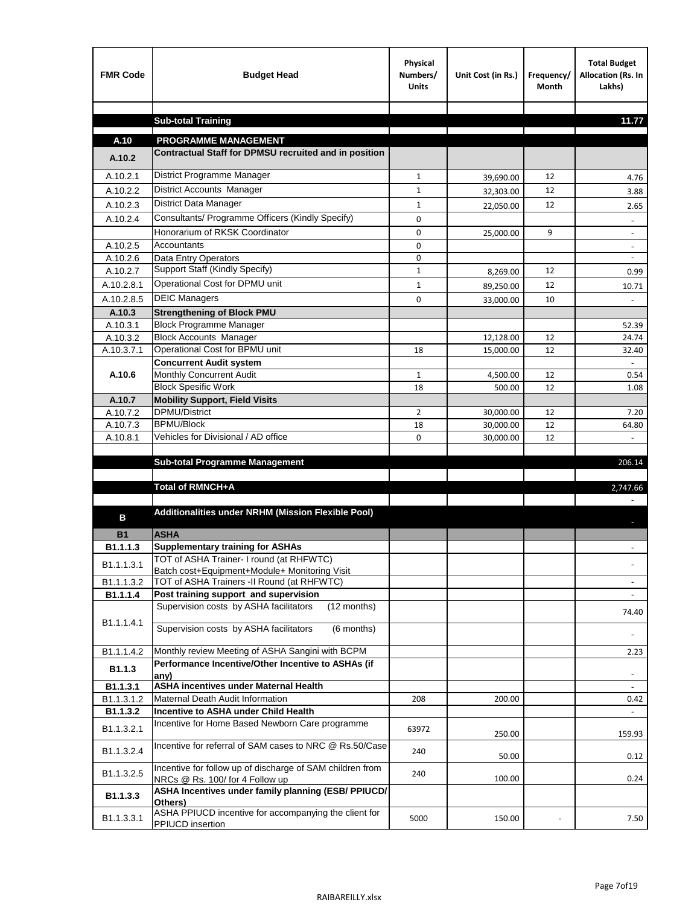| <b>FMR Code</b>    | <b>Budget Head</b>                                                                                     | Physical<br>Numbers/<br><b>Units</b> | Unit Cost (in Rs.) | Frequency/<br><b>Month</b> | <b>Total Budget</b><br>Allocation (Rs. In<br>Lakhs) |
|--------------------|--------------------------------------------------------------------------------------------------------|--------------------------------------|--------------------|----------------------------|-----------------------------------------------------|
|                    |                                                                                                        |                                      |                    |                            |                                                     |
|                    | <b>Sub-total Training</b>                                                                              |                                      |                    |                            | 11.77                                               |
| A.10               | <b>PROGRAMME MANAGEMENT</b>                                                                            |                                      |                    |                            |                                                     |
| A.10.2             | Contractual Staff for DPMSU recruited and in position                                                  |                                      |                    |                            |                                                     |
| A.10.2.1           | District Programme Manager                                                                             | $\mathbf{1}$                         | 39,690.00          | 12                         | 4.76                                                |
| A.10.2.2           | District Accounts Manager                                                                              | 1                                    | 32,303.00          | 12                         | 3.88                                                |
| A.10.2.3           | District Data Manager                                                                                  | $\mathbf{1}$                         | 22,050.00          | 12                         | 2.65                                                |
| A.10.2.4           | Consultants/ Programme Officers (Kindly Specify)                                                       | $\mathbf 0$                          |                    |                            |                                                     |
|                    | Honorarium of RKSK Coordinator                                                                         | 0                                    | 25,000.00          | 9                          | $\overline{\phantom{a}}$                            |
| A.10.2.5           | Accountants                                                                                            | 0                                    |                    |                            |                                                     |
| A.10.2.6           | Data Entry Operators                                                                                   | 0                                    |                    |                            | $\overline{\phantom{a}}$                            |
| A.10.2.7           | Support Staff (Kindly Specify)                                                                         | $\mathbf{1}$                         | 8,269.00           | 12                         | 0.99                                                |
| A.10.2.8.1         | Operational Cost for DPMU unit                                                                         | $\mathbf{1}$                         | 89,250.00          | 12                         | 10.71                                               |
| A.10.2.8.5         | <b>DEIC Managers</b>                                                                                   | $\mathbf 0$                          | 33,000.00          | 10                         |                                                     |
| A.10.3             | <b>Strengthening of Block PMU</b>                                                                      |                                      |                    |                            |                                                     |
| A.10.3.1           | <b>Block Programme Manager</b>                                                                         |                                      |                    |                            | 52.39                                               |
| A.10.3.2           | <b>Block Accounts Manager</b>                                                                          |                                      | 12,128.00          | 12                         | 24.74                                               |
| A.10.3.7.1         | Operational Cost for BPMU unit<br><b>Concurrent Audit system</b>                                       | 18                                   | 15,000.00          | 12                         | 32.40                                               |
| A.10.6             | Monthly Concurrent Audit                                                                               | $\mathbf{1}$                         | 4,500.00           | 12                         | 0.54                                                |
|                    | <b>Block Spesific Work</b>                                                                             | 18                                   | 500.00             | 12                         | 1.08                                                |
| A.10.7             | <b>Mobility Support, Field Visits</b>                                                                  |                                      |                    |                            |                                                     |
| A.10.7.2           | <b>DPMU/District</b>                                                                                   | $\overline{2}$                       | 30,000.00          | 12                         | 7.20                                                |
| A.10.7.3           | <b>BPMU/Block</b>                                                                                      | 18                                   | 30,000.00          | 12                         | 64.80                                               |
| A.10.8.1           | Vehicles for Divisional / AD office                                                                    | 0                                    | 30,000.00          | 12                         |                                                     |
|                    | <b>Sub-total Programme Management</b>                                                                  |                                      |                    |                            | 206.14                                              |
|                    |                                                                                                        |                                      |                    |                            |                                                     |
|                    | Total of RMNCH+A                                                                                       |                                      |                    |                            | 2,747.66                                            |
|                    |                                                                                                        |                                      |                    |                            |                                                     |
| в                  | Additionalities under NRHM (Mission Flexible Pool)                                                     |                                      |                    |                            |                                                     |
| <b>B1</b>          | <b>ASHA</b>                                                                                            |                                      |                    |                            |                                                     |
| B1.1.1.3           | <b>Supplementary training for ASHAs</b>                                                                |                                      |                    |                            |                                                     |
|                    | TOT of ASHA Trainer- I round (at RHFWTC)                                                               |                                      |                    |                            |                                                     |
| B1.1.1.3.1         | Batch cost+Equipment+Module+ Monitoring Visit                                                          |                                      |                    |                            |                                                     |
| B1.1.1.3.2         | TOT of ASHA Trainers -II Round (at RHFWTC)                                                             |                                      |                    |                            |                                                     |
| B1.1.1.4           | Post training support and supervision                                                                  |                                      |                    |                            | $\sim$                                              |
|                    | Supervision costs by ASHA facilitators<br>(12 months)                                                  |                                      |                    |                            | 74.40                                               |
| B1.1.1.4.1         | Supervision costs by ASHA facilitators<br>(6 months)                                                   |                                      |                    |                            |                                                     |
|                    |                                                                                                        |                                      |                    |                            |                                                     |
| B1.1.1.4.2         | Monthly review Meeting of ASHA Sangini with BCPM<br>Performance Incentive/Other Incentive to ASHAs (if |                                      |                    |                            | 2.23                                                |
| B <sub>1.1.3</sub> | any)                                                                                                   |                                      |                    |                            |                                                     |
| B1.1.3.1           | <b>ASHA incentives under Maternal Health</b>                                                           |                                      |                    |                            |                                                     |
| B1.1.3.1.2         | Maternal Death Audit Information                                                                       | 208                                  | 200.00             |                            | 0.42                                                |
| B1.1.3.2           | Incentive to ASHA under Child Health                                                                   |                                      |                    |                            | ÷.                                                  |
| B1.1.3.2.1         | Incentive for Home Based Newborn Care programme                                                        | 63972                                | 250.00             |                            | 159.93                                              |
| B1.1.3.2.4         | Incentive for referral of SAM cases to NRC @ Rs.50/Case                                                | 240                                  | 50.00              |                            | 0.12                                                |
| B1.1.3.2.5         | Incentive for follow up of discharge of SAM children from<br>NRCs @ Rs. 100/ for 4 Follow up           | 240                                  | 100.00             |                            | 0.24                                                |
| B1.1.3.3           | ASHA Incentives under family planning (ESB/ PPIUCD/<br>Others)                                         |                                      |                    |                            |                                                     |
| B1.1.3.3.1         | ASHA PPIUCD incentive for accompanying the client for<br>PPIUCD insertion                              | 5000                                 | 150.00             |                            | 7.50                                                |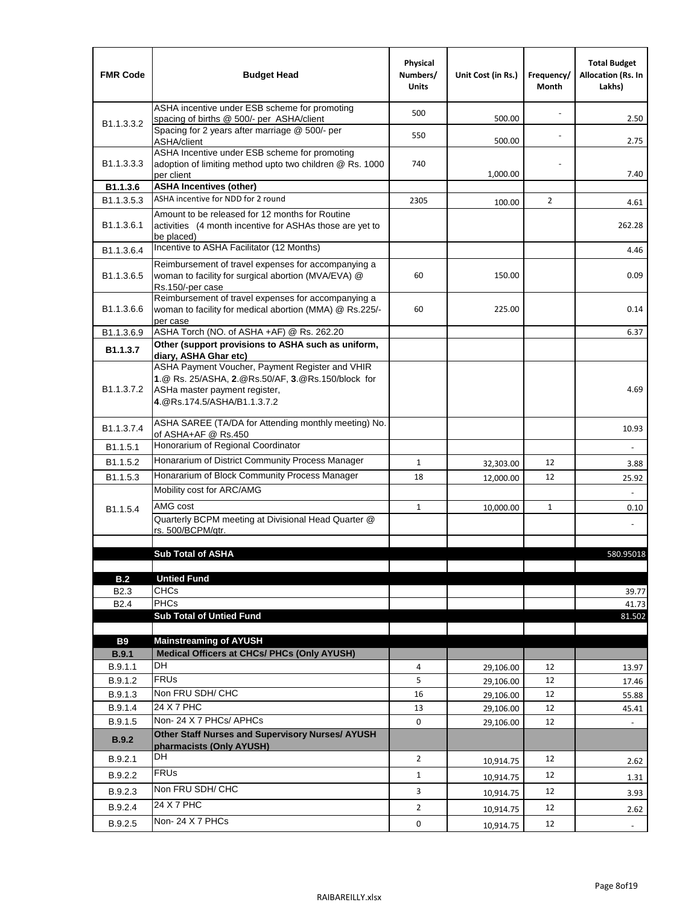| <b>FMR Code</b>         | <b>Budget Head</b>                                                                                                                                                   | Physical<br>Numbers/<br><b>Units</b> | Unit Cost (in Rs.) | Frequency/<br><b>Month</b> | <b>Total Budget</b><br>Allocation (Rs. In<br>Lakhs) |
|-------------------------|----------------------------------------------------------------------------------------------------------------------------------------------------------------------|--------------------------------------|--------------------|----------------------------|-----------------------------------------------------|
|                         | ASHA incentive under ESB scheme for promoting<br>spacing of births @ 500/- per ASHA/client                                                                           | 500                                  | 500.00             |                            | 2.50                                                |
| B <sub>1.1</sub> .3.3.2 | Spacing for 2 years after marriage @ 500/- per<br>ASHA/client                                                                                                        | 550                                  | 500.00             |                            | 2.75                                                |
| B1.1.3.3.3              | ASHA Incentive under ESB scheme for promoting<br>adoption of limiting method upto two children @ Rs. 1000<br>per client                                              | 740                                  | 1,000.00           |                            | 7.40                                                |
| B <sub>1.1</sub> .3.6   | <b>ASHA Incentives (other)</b>                                                                                                                                       |                                      |                    |                            |                                                     |
| B <sub>1.1</sub> .3.5.3 | ASHA incentive for NDD for 2 round                                                                                                                                   | 2305                                 | 100.00             | $\overline{2}$             | 4.61                                                |
| B <sub>1.1</sub> .3.6.1 | Amount to be released for 12 months for Routine<br>activities (4 month incentive for ASHAs those are yet to<br>be placed)                                            |                                      |                    |                            | 262.28                                              |
| B1.1.3.6.4              | Incentive to ASHA Facilitator (12 Months)                                                                                                                            |                                      |                    |                            | 4.46                                                |
| B <sub>1.1</sub> .3.6.5 | Reimbursement of travel expenses for accompanying a<br>woman to facility for surgical abortion (MVA/EVA) @<br>Rs.150/-per case                                       | 60                                   | 150.00             |                            | 0.09                                                |
| B <sub>1.1</sub> .3.6.6 | Reimbursement of travel expenses for accompanying a<br>woman to facility for medical abortion (MMA) @ Rs.225/-<br>per case                                           | 60                                   | 225.00             |                            | 0.14                                                |
| B1.1.3.6.9              | ASHA Torch (NO. of ASHA +AF) @ Rs. 262.20                                                                                                                            |                                      |                    |                            | 6.37                                                |
| B1.1.3.7                | Other (support provisions to ASHA such as uniform,<br>diary, ASHA Ghar etc)                                                                                          |                                      |                    |                            |                                                     |
| B <sub>1.1</sub> .3.7.2 | ASHA Payment Voucher, Payment Register and VHIR<br>1.@ Rs. 25/ASHA, 2.@Rs.50/AF, 3.@Rs.150/block for<br>ASHa master payment register,<br>4.@Rs.174.5/ASHA/B1.1.3.7.2 |                                      |                    |                            | 4.69                                                |
| B <sub>1.1</sub> .3.7.4 | ASHA SAREE (TA/DA for Attending monthly meeting) No.<br>of ASHA+AF @ Rs.450                                                                                          |                                      |                    |                            | 10.93                                               |
| B <sub>1.1</sub> .5.1   | Honorarium of Regional Coordinator                                                                                                                                   |                                      |                    |                            |                                                     |
| B1.1.5.2                | Honararium of District Community Process Manager                                                                                                                     | $\mathbf{1}$                         | 32,303.00          | 12                         | 3.88                                                |
| B1.1.5.3                | Honararium of Block Community Process Manager                                                                                                                        | 18                                   | 12,000.00          | 12                         | 25.92                                               |
|                         | Mobility cost for ARC/AMG                                                                                                                                            |                                      |                    |                            |                                                     |
| B <sub>1.1.5.4</sub>    | AMG cost                                                                                                                                                             | $\mathbf{1}$                         | 10,000.00          | $\mathbf{1}$               | 0.10                                                |
|                         | Quarterly BCPM meeting at Divisional Head Quarter @<br>rs. 500/BCPM/qtr.                                                                                             |                                      |                    |                            |                                                     |
|                         | <b>Sub Total of ASHA</b>                                                                                                                                             |                                      |                    |                            |                                                     |
|                         |                                                                                                                                                                      |                                      |                    |                            | 580.95018                                           |
| B.2                     | <b>Untied Fund</b>                                                                                                                                                   |                                      |                    |                            |                                                     |
| B <sub>2.3</sub>        | <b>CHCs</b>                                                                                                                                                          |                                      |                    |                            | 39.77                                               |
| B <sub>2.4</sub>        | <b>PHCs</b>                                                                                                                                                          |                                      |                    |                            | 41.73                                               |
|                         | <b>Sub Total of Untied Fund</b>                                                                                                                                      |                                      |                    |                            | 81.502                                              |
| <b>B9</b>               | <b>Mainstreaming of AYUSH</b>                                                                                                                                        |                                      |                    |                            |                                                     |
| <b>B.9.1</b>            | Medical Officers at CHCs/ PHCs (Only AYUSH)                                                                                                                          |                                      |                    |                            |                                                     |
| B.9.1.1                 | DH                                                                                                                                                                   | 4                                    | 29,106.00          | 12                         | 13.97                                               |
| B.9.1.2                 | <b>FRUs</b>                                                                                                                                                          | 5                                    | 29,106.00          | 12                         | 17.46                                               |
| B.9.1.3                 | Non FRU SDH/ CHC                                                                                                                                                     | 16                                   | 29,106.00          | 12                         | 55.88                                               |
| B.9.1.4                 | 24 X 7 PHC                                                                                                                                                           | 13                                   | 29,106.00          | 12                         | 45.41                                               |
| B.9.1.5                 | Non-24 X 7 PHCs/ APHCs<br>Other Staff Nurses and Supervisory Nurses/ AYUSH                                                                                           | 0                                    | 29,106.00          | 12                         |                                                     |
| B.9.2                   | pharmacists (Only AYUSH)                                                                                                                                             |                                      |                    |                            |                                                     |
| B.9.2.1                 | DH                                                                                                                                                                   | $\overline{2}$                       | 10,914.75          | 12                         | 2.62                                                |
| B.9.2.2                 | <b>FRUs</b>                                                                                                                                                          | $\mathbf{1}$                         | 10,914.75          | 12                         | 1.31                                                |
| B.9.2.3                 | Non FRU SDH/ CHC                                                                                                                                                     | 3                                    | 10,914.75          | 12                         | 3.93                                                |
| B.9.2.4                 | 24 X 7 PHC                                                                                                                                                           | $\overline{2}$                       | 10,914.75          | 12                         | 2.62                                                |
| B.9.2.5                 | Non-24 X 7 PHCs                                                                                                                                                      | 0                                    | 10,914.75          | 12                         | $\overline{\phantom{a}}$                            |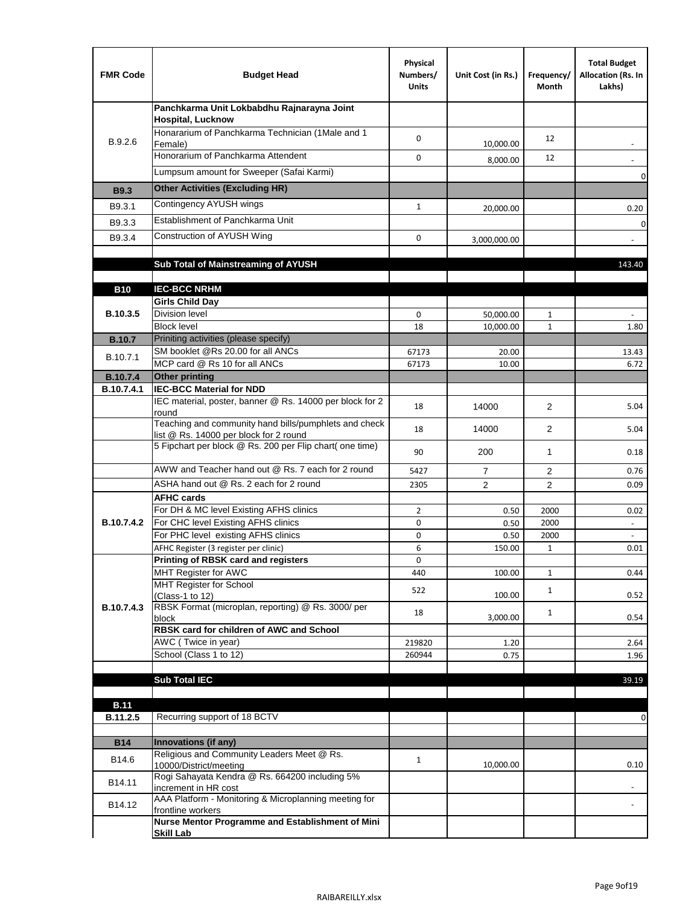| <b>FMR Code</b> | <b>Budget Head</b>                                                                              | Physical<br>Numbers/<br><b>Units</b> | Unit Cost (in Rs.) | Frequency/<br>Month | <b>Total Budget</b><br>Allocation (Rs. In<br>Lakhs) |
|-----------------|-------------------------------------------------------------------------------------------------|--------------------------------------|--------------------|---------------------|-----------------------------------------------------|
|                 | Panchkarma Unit Lokbabdhu Rajnarayna Joint<br><b>Hospital, Lucknow</b>                          |                                      |                    |                     |                                                     |
| B.9.2.6         | Honararium of Panchkarma Technician (1Male and 1<br>Female)                                     | 0                                    | 10,000.00          | 12                  |                                                     |
|                 | Honorarium of Panchkarma Attendent                                                              | $\mathbf 0$                          | 8,000.00           | 12                  |                                                     |
|                 | Lumpsum amount for Sweeper (Safai Karmi)                                                        |                                      |                    |                     | 0                                                   |
| <b>B9.3</b>     | <b>Other Activities (Excluding HR)</b>                                                          |                                      |                    |                     |                                                     |
| B9.3.1          | Contingency AYUSH wings                                                                         | $\mathbf{1}$                         | 20,000.00          |                     | 0.20                                                |
| B9.3.3          | Establishment of Panchkarma Unit                                                                |                                      |                    |                     | $\mathbf 0$                                         |
| B9.3.4          | Construction of AYUSH Wing                                                                      | 0                                    | 3,000,000.00       |                     |                                                     |
|                 |                                                                                                 |                                      |                    |                     |                                                     |
|                 | Sub Total of Mainstreaming of AYUSH                                                             |                                      |                    |                     | 143.40                                              |
|                 | <b>IEC-BCC NRHM</b>                                                                             |                                      |                    |                     |                                                     |
| <b>B10</b>      | <b>Girls Child Day</b>                                                                          |                                      |                    |                     |                                                     |
| B.10.3.5        | <b>Division level</b>                                                                           | 0                                    | 50,000.00          | 1                   |                                                     |
|                 | <b>Block level</b>                                                                              | 18                                   | 10,000.00          | $\mathbf{1}$        | 1.80                                                |
| <b>B.10.7</b>   | Priniting activities (please specify)                                                           |                                      |                    |                     |                                                     |
| B.10.7.1        | SM booklet @Rs 20.00 for all ANCs<br>MCP card @ Rs 10 for all ANCs                              | 67173<br>67173                       | 20.00<br>10.00     |                     | 13.43<br>6.72                                       |
| <b>B.10.7.4</b> | <b>Other printing</b>                                                                           |                                      |                    |                     |                                                     |
| B.10.7.4.1      | <b>IEC-BCC Material for NDD</b>                                                                 |                                      |                    |                     |                                                     |
|                 | IEC material, poster, banner @ Rs. 14000 per block for 2<br>round                               | 18                                   | 14000              | $\overline{2}$      | 5.04                                                |
|                 | Teaching and community hand bills/pumphlets and check<br>list @ Rs. 14000 per block for 2 round | 18                                   | 14000              | $\overline{2}$      | 5.04                                                |
|                 | 5 Fipchart per block @ Rs. 200 per Flip chart( one time)                                        | 90                                   | 200                | 1                   | 0.18                                                |
|                 | AWW and Teacher hand out @ Rs. 7 each for 2 round                                               | 5427                                 | $\overline{7}$     | 2                   | 0.76                                                |
|                 | ASHA hand out @ Rs. 2 each for 2 round                                                          | 2305                                 | $\overline{2}$     | $\overline{2}$      | 0.09                                                |
|                 | <b>AFHC cards</b><br>For DH & MC level Existing AFHS clinics                                    | $\overline{2}$                       |                    | 2000                | 0.02                                                |
| B.10.7.4.2      | For CHC level Existing AFHS clinics                                                             | 0                                    | 0.50<br>0.50       | 2000                | $\overline{\phantom{a}}$                            |
|                 | For PHC level existing AFHS clinics                                                             | 0                                    | 0.50               | 2000                | $\bar{\phantom{a}}$                                 |
|                 | AFHC Register (3 register per clinic)                                                           | 6                                    | 150.00             | $\mathbf{1}$        | 0.01                                                |
|                 | Printing of RBSK card and registers                                                             | 0                                    |                    |                     |                                                     |
|                 | MHT Register for AWC<br>MHT Register for School                                                 | 440                                  | 100.00             | $\mathbf{1}$        | 0.44                                                |
|                 | (Class-1 to 12)                                                                                 | 522                                  | 100.00             | $\mathbf{1}$        | 0.52                                                |
| B.10.7.4.3      | RBSK Format (microplan, reporting) @ Rs. 3000/ per                                              | 18                                   |                    | $\mathbf{1}$        |                                                     |
|                 | block<br>RBSK card for children of AWC and School                                               |                                      | 3,000.00           |                     | 0.54                                                |
|                 | AWC (Twice in year)                                                                             | 219820                               | 1.20               |                     | 2.64                                                |
|                 | School (Class 1 to 12)                                                                          | 260944                               | 0.75               |                     | 1.96                                                |
|                 |                                                                                                 |                                      |                    |                     |                                                     |
|                 | <b>Sub Total IEC</b>                                                                            |                                      |                    |                     | 39.19                                               |
| <b>B.11</b>     |                                                                                                 |                                      |                    |                     |                                                     |
| B.11.2.5        | Recurring support of 18 BCTV                                                                    |                                      |                    |                     | 0                                                   |
|                 |                                                                                                 |                                      |                    |                     |                                                     |
| <b>B14</b>      | Innovations (if any)<br>Religious and Community Leaders Meet @ Rs.                              |                                      |                    |                     |                                                     |
| B14.6           | 10000/District/meeting                                                                          | $\mathbf{1}$                         | 10,000.00          |                     | 0.10                                                |
| B14.11          | Rogi Sahayata Kendra @ Rs. 664200 including 5%<br>increment in HR cost                          |                                      |                    |                     |                                                     |
| B14.12          | AAA Platform - Monitoring & Microplanning meeting for<br>frontline workers                      |                                      |                    |                     |                                                     |
|                 | Nurse Mentor Programme and Establishment of Mini                                                |                                      |                    |                     |                                                     |
|                 | <b>Skill Lab</b>                                                                                |                                      |                    |                     |                                                     |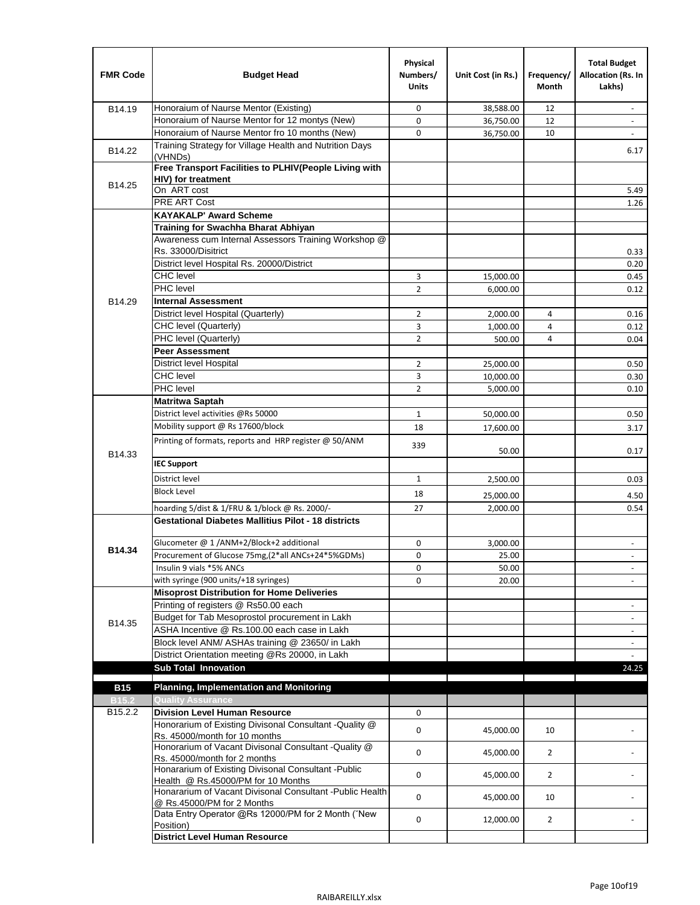| <b>FMR Code</b>   | <b>Budget Head</b>                                                                          | Physical<br>Numbers/<br><b>Units</b> | Unit Cost (in Rs.) | Frequency/<br><b>Month</b> | <b>Total Budget</b><br>Allocation (Rs. In<br>Lakhs) |
|-------------------|---------------------------------------------------------------------------------------------|--------------------------------------|--------------------|----------------------------|-----------------------------------------------------|
| B14.19            | Honoraium of Naurse Mentor (Existing)                                                       | 0                                    | 38,588.00          | 12                         | $\sim$                                              |
|                   | Honoraium of Naurse Mentor for 12 montys (New)                                              | 0                                    | 36,750.00          | 12                         |                                                     |
|                   | Honoraium of Naurse Mentor fro 10 months (New)                                              | 0                                    | 36,750.00          | 10                         | $\sim$                                              |
| B14.22            | Training Strategy for Village Health and Nutrition Days<br>(VHNDs)                          |                                      |                    |                            | 6.17                                                |
|                   | Free Transport Facilities to PLHIV(People Living with                                       |                                      |                    |                            |                                                     |
| B14.25            | <b>HIV)</b> for treatment                                                                   |                                      |                    |                            |                                                     |
|                   | On ART cost                                                                                 |                                      |                    |                            | 5.49                                                |
|                   | PRE ART Cost                                                                                |                                      |                    |                            | 1.26                                                |
|                   | <b>KAYAKALP' Award Scheme</b>                                                               |                                      |                    |                            |                                                     |
|                   | Training for Swachha Bharat Abhiyan<br>Awareness cum Internal Assessors Training Workshop @ |                                      |                    |                            |                                                     |
|                   | Rs. 33000/Disitrict                                                                         |                                      |                    |                            | 0.33                                                |
|                   | District level Hospital Rs. 20000/District                                                  |                                      |                    |                            | 0.20                                                |
|                   | <b>CHC</b> level                                                                            | 3                                    | 15,000.00          |                            | 0.45                                                |
|                   | <b>PHC</b> level                                                                            | $\overline{2}$                       | 6,000.00           |                            | 0.12                                                |
| B14.29            | <b>Internal Assessment</b>                                                                  |                                      |                    |                            |                                                     |
|                   | District level Hospital (Quarterly)                                                         | $\overline{2}$                       | 2,000.00           | 4                          | 0.16                                                |
|                   | CHC level (Quarterly)                                                                       | 3                                    | 1,000.00           | 4                          | 0.12                                                |
|                   | PHC level (Quarterly)                                                                       | $\overline{2}$                       | 500.00             | 4                          | 0.04                                                |
|                   | <b>Peer Assessment</b>                                                                      |                                      |                    |                            |                                                     |
|                   | <b>District level Hospital</b>                                                              | $\overline{2}$                       | 25.000.00          |                            | 0.50                                                |
|                   | <b>CHC</b> level                                                                            | 3                                    | 10,000.00          |                            | 0.30                                                |
|                   | PHC level                                                                                   | $\overline{2}$                       | 5,000.00           |                            | 0.10                                                |
|                   | Matritwa Saptah                                                                             |                                      |                    |                            |                                                     |
|                   | District level activities @Rs 50000                                                         | $\mathbf{1}$                         | 50,000.00          |                            | 0.50                                                |
|                   | Mobility support @ Rs 17600/block                                                           | 18                                   | 17,600.00          |                            | 3.17                                                |
|                   | Printing of formats, reports and HRP register @ 50/ANM                                      |                                      |                    |                            |                                                     |
| B14.33            |                                                                                             | 339                                  | 50.00              |                            | 0.17                                                |
|                   | <b>IEC Support</b>                                                                          |                                      |                    |                            |                                                     |
|                   | District level                                                                              | $\mathbf{1}$                         | 2,500.00           |                            | 0.03                                                |
|                   | <b>Block Level</b>                                                                          | 18                                   | 25,000.00          |                            | 4.50                                                |
|                   | hoarding 5/dist & 1/FRU & 1/block @ Rs. 2000/-                                              | 27                                   | 2,000.00           |                            | 0.54                                                |
|                   | <b>Gestational Diabetes Mallitius Pilot - 18 districts</b>                                  |                                      |                    |                            |                                                     |
|                   | Glucometer @ 1 /ANM+2/Block+2 additional                                                    | 0                                    | 3,000.00           |                            | $\overline{\phantom{a}}$                            |
| B14.34            | Procurement of Glucose 75mg, (2*all ANCs+24*5%GDMs)                                         | 0                                    | 25.00              |                            |                                                     |
|                   | Insulin 9 vials *5% ANCs                                                                    | 0                                    | 50.00              |                            | $\blacksquare$                                      |
|                   | with syringe (900 units/+18 syringes)                                                       | 0                                    | 20.00              |                            |                                                     |
|                   | <b>Misoprost Distribution for Home Deliveries</b>                                           |                                      |                    |                            |                                                     |
|                   | Printing of registers @ Rs50.00 each                                                        |                                      |                    |                            | $\overline{\phantom{a}}$                            |
|                   | Budget for Tab Mesoprostol procurement in Lakh                                              |                                      |                    |                            |                                                     |
| B14.35            | ASHA Incentive @ Rs.100.00 each case in Lakh                                                |                                      |                    |                            | $\overline{\phantom{a}}$                            |
|                   | Block level ANM/ ASHAs training @ 23650/ in Lakh                                            |                                      |                    |                            | $\overline{\phantom{a}}$                            |
|                   | District Orientation meeting @Rs 20000, in Lakh                                             |                                      |                    |                            |                                                     |
|                   | <b>Sub Total Innovation</b>                                                                 |                                      |                    |                            | 24.25                                               |
| <b>B15</b>        | <b>Planning, Implementation and Monitoring</b>                                              |                                      |                    |                            |                                                     |
| B <sub>15.2</sub> | <b>Quality Assurance</b>                                                                    |                                      |                    |                            |                                                     |
| B15.2.2           | <b>Division Level Human Resource</b>                                                        | 0                                    |                    |                            |                                                     |
|                   | Honorarium of Existing Divisonal Consultant -Quality @<br>Rs. 45000/month for 10 months     | 0                                    | 45,000.00          | 10                         |                                                     |
|                   | Honorarium of Vacant Divisonal Consultant -Quality @<br>Rs. 45000/month for 2 months        | 0                                    | 45,000.00          | $\overline{2}$             |                                                     |
|                   | Honararium of Existing Divisonal Consultant - Public<br>Health @ Rs.45000/PM for 10 Months  | 0                                    | 45,000.00          | $\overline{2}$             |                                                     |
|                   | Honararium of Vacant Divisonal Consultant - Public Health<br>@ Rs.45000/PM for 2 Months     | 0                                    | 45,000.00          | 10                         |                                                     |
|                   | Data Entry Operator @Rs 12000/PM for 2 Month ("New<br>Position)                             | 0                                    | 12,000.00          | $\overline{2}$             |                                                     |
|                   | <b>District Level Human Resource</b>                                                        |                                      |                    |                            |                                                     |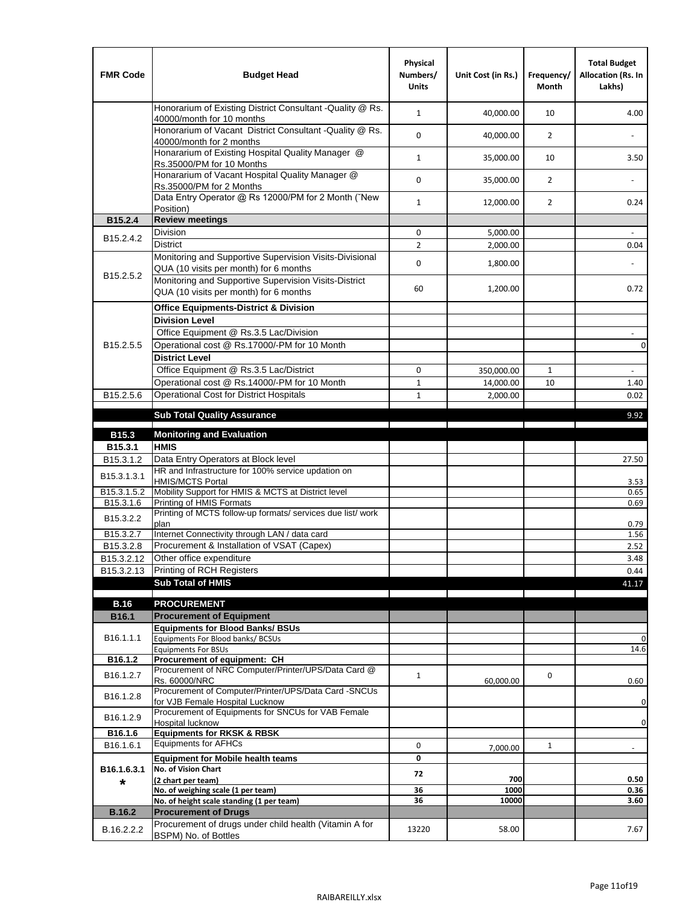| <b>FMR Code</b>         | <b>Budget Head</b>                                                                                | Physical<br>Numbers/<br><b>Units</b> | Unit Cost (in Rs.) | Frequency/<br><b>Month</b> | <b>Total Budget</b><br>Allocation (Rs. In<br>Lakhs) |
|-------------------------|---------------------------------------------------------------------------------------------------|--------------------------------------|--------------------|----------------------------|-----------------------------------------------------|
|                         | Honorarium of Existing District Consultant -Quality @ Rs.<br>40000/month for 10 months            | $\mathbf{1}$                         | 40,000.00          | 10                         | 4.00                                                |
|                         | Honorarium of Vacant District Consultant -Quality @ Rs.<br>40000/month for 2 months               | $\mathbf 0$                          | 40,000.00          | $\overline{2}$             |                                                     |
|                         | Honararium of Existing Hospital Quality Manager @<br>Rs.35000/PM for 10 Months                    | $\mathbf{1}$                         | 35,000.00          | 10                         | 3.50                                                |
|                         | Honararium of Vacant Hospital Quality Manager @<br>Rs.35000/PM for 2 Months                       | $\mathbf 0$                          | 35,000.00          | $\overline{2}$             |                                                     |
|                         | Data Entry Operator @ Rs 12000/PM for 2 Month ("New<br>Position)                                  | $\mathbf{1}$                         | 12,000.00          | $\overline{2}$             | 0.24                                                |
| B15.2.4                 | <b>Review meetings</b>                                                                            |                                      |                    |                            |                                                     |
| B <sub>15.2</sub> .4.2  | Division                                                                                          | 0                                    | 5,000.00           |                            |                                                     |
|                         | <b>District</b>                                                                                   | $\overline{2}$                       | 2,000.00           |                            | 0.04                                                |
|                         | Monitoring and Supportive Supervision Visits-Divisional<br>QUA (10 visits per month) for 6 months | $\mathbf 0$                          | 1,800.00           |                            |                                                     |
| B15.2.5.2               | Monitoring and Supportive Supervision Visits-District<br>QUA (10 visits per month) for 6 months   | 60                                   | 1,200.00           |                            | 0.72                                                |
|                         | <b>Office Equipments-District &amp; Division</b>                                                  |                                      |                    |                            |                                                     |
|                         | <b>Division Level</b>                                                                             |                                      |                    |                            |                                                     |
|                         | Office Equipment @ Rs.3.5 Lac/Division                                                            |                                      |                    |                            | $\overline{\phantom{a}}$                            |
| B15.2.5.5               | Operational cost @ Rs.17000/-PM for 10 Month                                                      |                                      |                    |                            | $\pmb{0}$                                           |
|                         | <b>District Level</b>                                                                             |                                      |                    |                            |                                                     |
|                         | Office Equipment @ Rs.3.5 Lac/District                                                            | 0                                    | 350,000.00         | 1                          | $\blacksquare$                                      |
|                         | Operational cost @ Rs.14000/-PM for 10 Month                                                      | $1\,$                                | 14,000.00          | 10                         | 1.40                                                |
| B15.2.5.6               | <b>Operational Cost for District Hospitals</b>                                                    | $\mathbf{1}$                         | 2,000.00           |                            | 0.02                                                |
|                         | <b>Sub Total Quality Assurance</b>                                                                |                                      |                    |                            | 9.92                                                |
| B15.3                   | <b>Monitoring and Evaluation</b>                                                                  |                                      |                    |                            |                                                     |
| B15.3.1                 | <b>HMIS</b>                                                                                       |                                      |                    |                            |                                                     |
| B15.3.1.2               | Data Entry Operators at Block level                                                               |                                      |                    |                            | 27.50                                               |
| B15.3.1.3.1             | HR and Infrastructure for 100% service updation on<br><b>HMIS/MCTS Portal</b>                     |                                      |                    |                            | 3.53                                                |
| B <sub>15.3.1.5.2</sub> | Mobility Support for HMIS & MCTS at District level                                                |                                      |                    |                            | 0.65                                                |
| B15.3.1.6               | Printing of HMIS Formats                                                                          |                                      |                    |                            | 0.69                                                |
| B15.3.2.2               | Printing of MCTS follow-up formats/ services due list/ work<br>plan                               |                                      |                    |                            | 0.79                                                |
| B15.3.2.7               | Internet Connectivity through LAN / data card                                                     |                                      |                    |                            | 1.56                                                |
| B15.3.2.8               | Procurement & Installation of VSAT (Capex)                                                        |                                      |                    |                            | 2.52                                                |
| B15.3.2.12              | Other office expenditure                                                                          |                                      |                    |                            | 3.48                                                |
| B15.3.2.13              | Printing of RCH Registers                                                                         |                                      |                    |                            | 0.44                                                |
|                         | <b>Sub Total of HMIS</b>                                                                          |                                      |                    |                            | 41.17                                               |
| <b>B.16</b>             | <b>PROCUREMENT</b>                                                                                |                                      |                    |                            |                                                     |
| B16.1                   | <b>Procurement of Equipment</b>                                                                   |                                      |                    |                            |                                                     |
|                         | <b>Equipments for Blood Banks/ BSUs</b>                                                           |                                      |                    |                            |                                                     |
| B16.1.1.1               | Equipments For Blood banks/ BCSUs                                                                 |                                      |                    |                            | 0                                                   |
| B16.1.2                 | <b>Equipments For BSUs</b><br>Procurement of equipment: CH                                        |                                      |                    |                            | 14.6                                                |
|                         | Procurement of NRC Computer/Printer/UPS/Data Card @                                               |                                      |                    |                            |                                                     |
| B16.1.2.7               | Rs. 60000/NRC                                                                                     | $\mathbf{1}$                         | 60,000.00          | 0                          | 0.60                                                |
| B16.1.2.8               | Procurement of Computer/Printer/UPS/Data Card -SNCUs                                              |                                      |                    |                            |                                                     |
|                         | for VJB Female Hospital Lucknow<br>Procurement of Equipments for SNCUs for VAB Female             |                                      |                    |                            | 0                                                   |
| B16.1.2.9               | Hospital lucknow                                                                                  |                                      |                    |                            | 0                                                   |
| B16.1.6                 | <b>Equipments for RKSK &amp; RBSK</b>                                                             |                                      |                    |                            |                                                     |
| B16.1.6.1               | <b>Equipments for AFHCs</b>                                                                       | 0                                    | 7,000.00           | $\mathbf{1}$               | ÷,                                                  |
|                         | <b>Equipment for Mobile health teams</b>                                                          | 0                                    |                    |                            |                                                     |
| B16.1.6.3.1             | No. of Vision Chart                                                                               | 72                                   | 700                |                            | 0.50                                                |
| *                       | (2 chart per team)<br>No. of weighing scale (1 per team)                                          | 36                                   | 1000               |                            | 0.36                                                |
|                         | No. of height scale standing (1 per team)                                                         | 36                                   | 10000              |                            | 3.60                                                |
| <b>B.16.2</b>           | <b>Procurement of Drugs</b>                                                                       |                                      |                    |                            |                                                     |
| B.16.2.2.2              | Procurement of drugs under child health (Vitamin A for                                            | 13220                                | 58.00              |                            | 7.67                                                |
|                         | BSPM) No. of Bottles                                                                              |                                      |                    |                            |                                                     |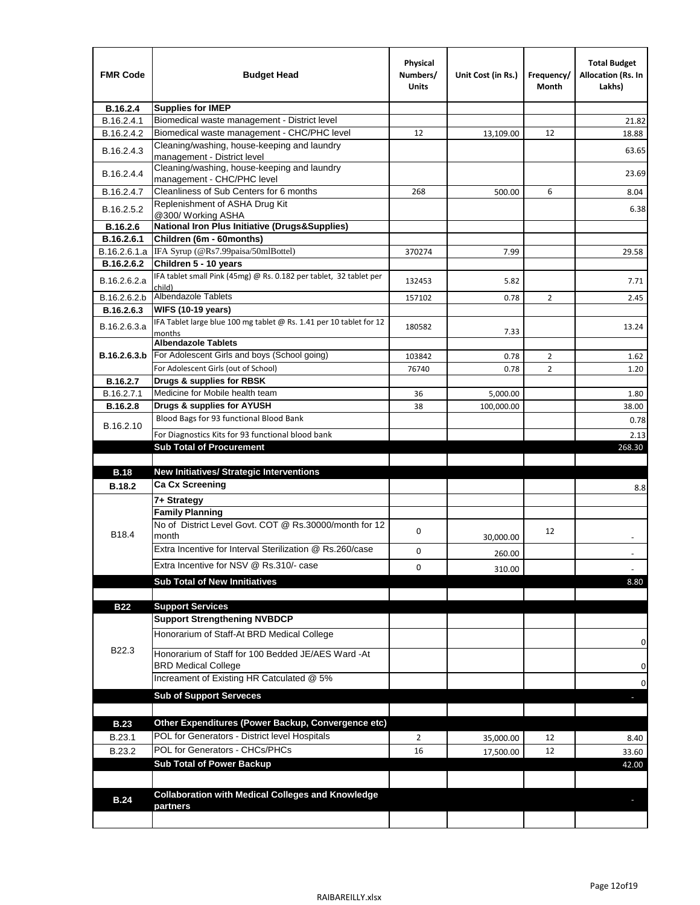| <b>Supplies for IMEP</b><br>B.16.2.4<br>Biomedical waste management - District level<br>B.16.2.4.1<br>Biomedical waste management - CHC/PHC level<br>B.16.2.4.2<br>12<br>13,109.00<br>12<br>Cleaning/washing, house-keeping and laundry<br>B.16.2.4.3<br>management - District level<br>Cleaning/washing, house-keeping and laundry<br>B.16.2.4.4<br>management - CHC/PHC level<br>Cleanliness of Sub Centers for 6 months<br>B.16.2.4.7<br>268<br>500.00<br>6<br>Replenishment of ASHA Drug Kit<br>B.16.2.5.2<br>@300/ Working ASHA<br><b>National Iron Plus Initiative (Drugs&amp;Supplies)</b><br>B.16.2.6<br>B.16.2.6.1<br>Children (6m - 60months)<br>IFA Syrup (@Rs7.99paisa/50mlBottel)<br>B.16.2.6.1.a<br>370274<br>7.99<br>Children 5 - 10 years<br>B.16.2.6.2<br>IFA tablet small Pink (45mg) @ Rs. 0.182 per tablet, 32 tablet per<br>B.16.2.6.2.a<br>5.82<br>132453<br>child) | <b>FMR Code</b> | <b>Budget Head</b>  | Physical<br>Numbers/<br><b>Units</b> | Unit Cost (in Rs.) | Frequency/<br>Month | <b>Total Budget</b><br><b>Allocation (Rs. In</b><br>Lakhs) |
|-------------------------------------------------------------------------------------------------------------------------------------------------------------------------------------------------------------------------------------------------------------------------------------------------------------------------------------------------------------------------------------------------------------------------------------------------------------------------------------------------------------------------------------------------------------------------------------------------------------------------------------------------------------------------------------------------------------------------------------------------------------------------------------------------------------------------------------------------------------------------------------------|-----------------|---------------------|--------------------------------------|--------------------|---------------------|------------------------------------------------------------|
|                                                                                                                                                                                                                                                                                                                                                                                                                                                                                                                                                                                                                                                                                                                                                                                                                                                                                           |                 |                     |                                      |                    |                     |                                                            |
|                                                                                                                                                                                                                                                                                                                                                                                                                                                                                                                                                                                                                                                                                                                                                                                                                                                                                           |                 |                     |                                      |                    |                     | 21.82                                                      |
|                                                                                                                                                                                                                                                                                                                                                                                                                                                                                                                                                                                                                                                                                                                                                                                                                                                                                           |                 |                     |                                      |                    |                     | 18.88                                                      |
|                                                                                                                                                                                                                                                                                                                                                                                                                                                                                                                                                                                                                                                                                                                                                                                                                                                                                           |                 |                     |                                      |                    |                     | 63.65                                                      |
|                                                                                                                                                                                                                                                                                                                                                                                                                                                                                                                                                                                                                                                                                                                                                                                                                                                                                           |                 |                     |                                      |                    |                     | 23.69                                                      |
|                                                                                                                                                                                                                                                                                                                                                                                                                                                                                                                                                                                                                                                                                                                                                                                                                                                                                           |                 |                     |                                      |                    |                     | 8.04                                                       |
|                                                                                                                                                                                                                                                                                                                                                                                                                                                                                                                                                                                                                                                                                                                                                                                                                                                                                           |                 |                     |                                      |                    |                     | 6.38                                                       |
|                                                                                                                                                                                                                                                                                                                                                                                                                                                                                                                                                                                                                                                                                                                                                                                                                                                                                           |                 |                     |                                      |                    |                     |                                                            |
|                                                                                                                                                                                                                                                                                                                                                                                                                                                                                                                                                                                                                                                                                                                                                                                                                                                                                           |                 |                     |                                      |                    |                     |                                                            |
|                                                                                                                                                                                                                                                                                                                                                                                                                                                                                                                                                                                                                                                                                                                                                                                                                                                                                           |                 |                     |                                      |                    |                     | 29.58                                                      |
|                                                                                                                                                                                                                                                                                                                                                                                                                                                                                                                                                                                                                                                                                                                                                                                                                                                                                           |                 |                     |                                      |                    |                     |                                                            |
|                                                                                                                                                                                                                                                                                                                                                                                                                                                                                                                                                                                                                                                                                                                                                                                                                                                                                           |                 |                     |                                      |                    |                     | 7.71                                                       |
|                                                                                                                                                                                                                                                                                                                                                                                                                                                                                                                                                                                                                                                                                                                                                                                                                                                                                           | B.16.2.6.2.b    | Albendazole Tablets | 157102                               | 0.78               | 2                   | 2.45                                                       |
| <b>WIFS (10-19 years)</b><br>B.16.2.6.3                                                                                                                                                                                                                                                                                                                                                                                                                                                                                                                                                                                                                                                                                                                                                                                                                                                   |                 |                     |                                      |                    |                     |                                                            |
| IFA Tablet large blue 100 mg tablet @ Rs. 1.41 per 10 tablet for 12<br>B.16.2.6.3.a<br>180582<br>7.33<br>months                                                                                                                                                                                                                                                                                                                                                                                                                                                                                                                                                                                                                                                                                                                                                                           |                 |                     |                                      |                    |                     | 13.24                                                      |
| <b>Albendazole Tablets</b>                                                                                                                                                                                                                                                                                                                                                                                                                                                                                                                                                                                                                                                                                                                                                                                                                                                                |                 |                     |                                      |                    |                     |                                                            |
| For Adolescent Girls and boys (School going)<br>B.16.2.6.3.b<br>$\overline{2}$<br>103842<br>0.78                                                                                                                                                                                                                                                                                                                                                                                                                                                                                                                                                                                                                                                                                                                                                                                          |                 |                     |                                      |                    |                     | 1.62                                                       |
| For Adolescent Girls (out of School)<br>$\overline{2}$<br>76740<br>0.78                                                                                                                                                                                                                                                                                                                                                                                                                                                                                                                                                                                                                                                                                                                                                                                                                   |                 |                     |                                      |                    |                     | 1.20                                                       |
| Drugs & supplies for RBSK<br>B.16.2.7                                                                                                                                                                                                                                                                                                                                                                                                                                                                                                                                                                                                                                                                                                                                                                                                                                                     |                 |                     |                                      |                    |                     |                                                            |
| Medicine for Mobile health team<br>B.16.2.7.1<br>36<br>5,000.00                                                                                                                                                                                                                                                                                                                                                                                                                                                                                                                                                                                                                                                                                                                                                                                                                           |                 |                     |                                      |                    |                     | 1.80                                                       |
| Drugs & supplies for AYUSH<br><b>B.16.2.8</b><br>38<br>100,000.00<br>Blood Bags for 93 functional Blood Bank                                                                                                                                                                                                                                                                                                                                                                                                                                                                                                                                                                                                                                                                                                                                                                              |                 |                     |                                      |                    |                     | 38.00                                                      |
| B.16.2.10                                                                                                                                                                                                                                                                                                                                                                                                                                                                                                                                                                                                                                                                                                                                                                                                                                                                                 |                 |                     |                                      |                    |                     | 0.78                                                       |
| For Diagnostics Kits for 93 functional blood bank                                                                                                                                                                                                                                                                                                                                                                                                                                                                                                                                                                                                                                                                                                                                                                                                                                         |                 |                     |                                      |                    |                     | 2.13                                                       |
| <b>Sub Total of Procurement</b>                                                                                                                                                                                                                                                                                                                                                                                                                                                                                                                                                                                                                                                                                                                                                                                                                                                           |                 |                     |                                      |                    |                     | 268.30                                                     |
| <b>New Initiatives/ Strategic Interventions</b><br><b>B.18</b>                                                                                                                                                                                                                                                                                                                                                                                                                                                                                                                                                                                                                                                                                                                                                                                                                            |                 |                     |                                      |                    |                     |                                                            |
| <b>Ca Cx Screening</b><br><b>B.18.2</b>                                                                                                                                                                                                                                                                                                                                                                                                                                                                                                                                                                                                                                                                                                                                                                                                                                                   |                 |                     |                                      |                    |                     |                                                            |
|                                                                                                                                                                                                                                                                                                                                                                                                                                                                                                                                                                                                                                                                                                                                                                                                                                                                                           |                 |                     |                                      |                    |                     | 8.8                                                        |
| 7+ Strategy<br><b>Family Planning</b>                                                                                                                                                                                                                                                                                                                                                                                                                                                                                                                                                                                                                                                                                                                                                                                                                                                     |                 |                     |                                      |                    |                     |                                                            |
| No of District Level Govt. COT @ Rs.30000/month for 12<br>0<br>12<br>B18.4<br>month                                                                                                                                                                                                                                                                                                                                                                                                                                                                                                                                                                                                                                                                                                                                                                                                       |                 |                     |                                      |                    |                     |                                                            |
| 30,000.00<br>Extra Incentive for Interval Sterilization @ Rs.260/case                                                                                                                                                                                                                                                                                                                                                                                                                                                                                                                                                                                                                                                                                                                                                                                                                     |                 |                     |                                      |                    |                     |                                                            |
| 0<br>260.00                                                                                                                                                                                                                                                                                                                                                                                                                                                                                                                                                                                                                                                                                                                                                                                                                                                                               |                 |                     |                                      |                    |                     |                                                            |
| Extra Incentive for NSV @ Rs.310/- case<br>0<br>310.00                                                                                                                                                                                                                                                                                                                                                                                                                                                                                                                                                                                                                                                                                                                                                                                                                                    |                 |                     |                                      |                    |                     |                                                            |
| <b>Sub Total of New Innitiatives</b>                                                                                                                                                                                                                                                                                                                                                                                                                                                                                                                                                                                                                                                                                                                                                                                                                                                      |                 |                     |                                      |                    |                     | 8.80                                                       |
|                                                                                                                                                                                                                                                                                                                                                                                                                                                                                                                                                                                                                                                                                                                                                                                                                                                                                           |                 |                     |                                      |                    |                     |                                                            |
| <b>B22</b><br><b>Support Services</b><br><b>Support Strengthening NVBDCP</b>                                                                                                                                                                                                                                                                                                                                                                                                                                                                                                                                                                                                                                                                                                                                                                                                              |                 |                     |                                      |                    |                     |                                                            |
| Honorarium of Staff-At BRD Medical College                                                                                                                                                                                                                                                                                                                                                                                                                                                                                                                                                                                                                                                                                                                                                                                                                                                |                 |                     |                                      |                    |                     |                                                            |
| B22.3<br>Honorarium of Staff for 100 Bedded JE/AES Ward -At                                                                                                                                                                                                                                                                                                                                                                                                                                                                                                                                                                                                                                                                                                                                                                                                                               |                 |                     |                                      |                    |                     | 0                                                          |
| <b>BRD Medical College</b><br>Increament of Existing HR Catculated @ 5%                                                                                                                                                                                                                                                                                                                                                                                                                                                                                                                                                                                                                                                                                                                                                                                                                   |                 |                     |                                      |                    |                     | 0                                                          |
| <b>Sub of Support Serveces</b>                                                                                                                                                                                                                                                                                                                                                                                                                                                                                                                                                                                                                                                                                                                                                                                                                                                            |                 |                     |                                      |                    |                     | 0                                                          |
|                                                                                                                                                                                                                                                                                                                                                                                                                                                                                                                                                                                                                                                                                                                                                                                                                                                                                           |                 |                     |                                      |                    |                     |                                                            |
| Other Expenditures (Power Backup, Convergence etc)<br><b>B.23</b>                                                                                                                                                                                                                                                                                                                                                                                                                                                                                                                                                                                                                                                                                                                                                                                                                         |                 |                     |                                      |                    |                     |                                                            |
| POL for Generators - District level Hospitals                                                                                                                                                                                                                                                                                                                                                                                                                                                                                                                                                                                                                                                                                                                                                                                                                                             |                 |                     |                                      |                    |                     |                                                            |
| B.23.1<br>$\overline{2}$<br>12<br>35,000.00<br>POL for Generators - CHCs/PHCs                                                                                                                                                                                                                                                                                                                                                                                                                                                                                                                                                                                                                                                                                                                                                                                                             |                 |                     |                                      |                    |                     | 8.40                                                       |
| B.23.2<br>16<br>12<br>17,500.00<br><b>Sub Total of Power Backup</b>                                                                                                                                                                                                                                                                                                                                                                                                                                                                                                                                                                                                                                                                                                                                                                                                                       |                 |                     |                                      |                    |                     | 33.60                                                      |
|                                                                                                                                                                                                                                                                                                                                                                                                                                                                                                                                                                                                                                                                                                                                                                                                                                                                                           |                 |                     |                                      |                    |                     | 42.00                                                      |
| <b>Collaboration with Medical Colleges and Knowledge</b>                                                                                                                                                                                                                                                                                                                                                                                                                                                                                                                                                                                                                                                                                                                                                                                                                                  |                 |                     |                                      |                    |                     |                                                            |
| <b>B.24</b><br>partners                                                                                                                                                                                                                                                                                                                                                                                                                                                                                                                                                                                                                                                                                                                                                                                                                                                                   |                 |                     |                                      |                    |                     |                                                            |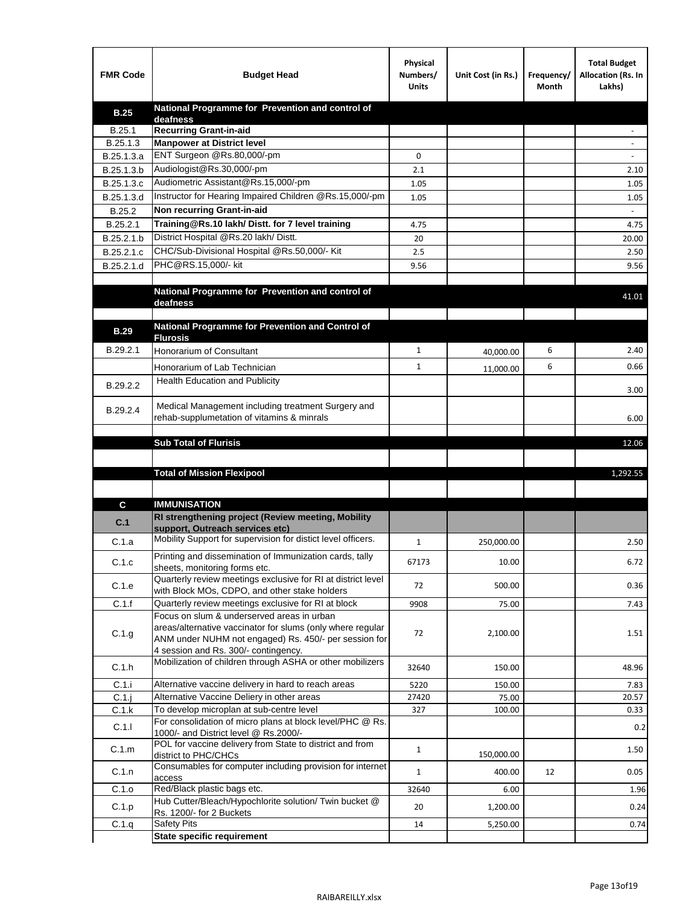| <b>FMR Code</b> | <b>Budget Head</b>                                                                                   | Physical<br>Numbers/<br><b>Units</b> | Unit Cost (in Rs.) | Frequency/<br>Month | <b>Total Budget</b><br>Allocation (Rs. In<br>Lakhs) |
|-----------------|------------------------------------------------------------------------------------------------------|--------------------------------------|--------------------|---------------------|-----------------------------------------------------|
| <b>B.25</b>     | National Programme for Prevention and control of                                                     |                                      |                    |                     |                                                     |
| B.25.1          | deafness<br><b>Recurring Grant-in-aid</b>                                                            |                                      |                    |                     |                                                     |
| B.25.1.3        | <b>Manpower at District level</b>                                                                    |                                      |                    |                     |                                                     |
| B.25.1.3.a      | ENT Surgeon @Rs.80,000/-pm                                                                           | 0                                    |                    |                     |                                                     |
| B.25.1.3.b      | Audiologist@Rs.30,000/-pm                                                                            | 2.1                                  |                    |                     | 2.10                                                |
| B.25.1.3.c      | Audiometric Assistant@Rs.15,000/-pm                                                                  | 1.05                                 |                    |                     | 1.05                                                |
| B.25.1.3.d      | Instructor for Hearing Impaired Children @Rs.15,000/-pm                                              | 1.05                                 |                    |                     | 1.05                                                |
| B.25.2          | Non recurring Grant-in-aid                                                                           |                                      |                    |                     |                                                     |
| B.25.2.1        | Training@Rs.10 lakh/ Distt. for 7 level training                                                     | 4.75                                 |                    |                     | 4.75                                                |
| B.25.2.1.b      | District Hospital @Rs.20 lakh/Distt.                                                                 | 20                                   |                    |                     | 20.00                                               |
| B.25.2.1.c      | CHC/Sub-Divisional Hospital @Rs.50,000/- Kit                                                         | 2.5                                  |                    |                     | 2.50                                                |
| B.25.2.1.d      | PHC@RS.15,000/- kit                                                                                  | 9.56                                 |                    |                     | 9.56                                                |
|                 |                                                                                                      |                                      |                    |                     |                                                     |
|                 | National Programme for Prevention and control of                                                     |                                      |                    |                     | 41.01                                               |
|                 | deafness                                                                                             |                                      |                    |                     |                                                     |
|                 | National Programme for Prevention and Control of                                                     |                                      |                    |                     |                                                     |
| <b>B.29</b>     | <b>Flurosis</b>                                                                                      |                                      |                    |                     |                                                     |
| B.29.2.1        | <b>Honorarium of Consultant</b>                                                                      | $\mathbf{1}$                         | 40,000.00          | 6                   | 2.40                                                |
|                 | Honorarium of Lab Technician                                                                         | $\mathbf{1}$                         | 11,000.00          | 6                   | 0.66                                                |
| B.29.2.2        | <b>Health Education and Publicity</b>                                                                |                                      |                    |                     |                                                     |
|                 |                                                                                                      |                                      |                    |                     | 3.00                                                |
| B.29.2.4        | Medical Management including treatment Surgery and                                                   |                                      |                    |                     |                                                     |
|                 | rehab-supplumetation of vitamins & minrals                                                           |                                      |                    |                     | 6.00                                                |
|                 | <b>Sub Total of Flurisis</b>                                                                         |                                      |                    |                     | 12.06                                               |
|                 |                                                                                                      |                                      |                    |                     |                                                     |
|                 | <b>Total of Mission Flexipool</b>                                                                    |                                      |                    |                     | 1,292.55                                            |
|                 |                                                                                                      |                                      |                    |                     |                                                     |
|                 | <b>IMMUNISATION</b>                                                                                  |                                      |                    |                     |                                                     |
| C               | RI strengthening project (Review meeting, Mobility                                                   |                                      |                    |                     |                                                     |
| C.1             | support. Outreach services etc)                                                                      |                                      |                    |                     |                                                     |
| C.1.a           | Mobility Support for supervision for distict level officers.                                         | $\mathbf{1}$                         | 250,000.00         |                     | 2.50                                                |
|                 | Printing and dissemination of Immunization cards, tally                                              |                                      |                    |                     |                                                     |
| C.1.c           | sheets, monitoring forms etc.                                                                        | 67173                                | 10.00              |                     | 6.72                                                |
| C.1.e           | Quarterly review meetings exclusive for RI at district level                                         | 72                                   | 500.00             |                     | 0.36                                                |
| C.1.f           | with Block MOs, CDPO, and other stake holders<br>Quarterly review meetings exclusive for RI at block | 9908                                 | 75.00              |                     |                                                     |
|                 | Focus on slum & underserved areas in urban                                                           |                                      |                    |                     | 7.43                                                |
|                 | areas/alternative vaccinator for slums (only where regular                                           |                                      |                    |                     |                                                     |
| C.1.g           | ANM under NUHM not engaged) Rs. 450/- per session for                                                | 72                                   | 2,100.00           |                     | 1.51                                                |
|                 | 4 session and Rs. 300/- contingency.                                                                 |                                      |                    |                     |                                                     |
| C.1.h           | Mobilization of children through ASHA or other mobilizers                                            | 32640                                | 150.00             |                     | 48.96                                               |
| C.1.i           | Alternative vaccine delivery in hard to reach areas                                                  | 5220                                 | 150.00             |                     | 7.83                                                |
| $C.1$ .j        | Alternative Vaccine Deliery in other areas                                                           | 27420                                | 75.00              |                     | 20.57                                               |
| C.1.k           | To develop microplan at sub-centre level                                                             | 327                                  | 100.00             |                     | 0.33                                                |
| C.1.1           | For consolidation of micro plans at block level/PHC @ Rs.                                            |                                      |                    |                     | 0.2                                                 |
|                 | 1000/- and District level @ Rs.2000/-<br>POL for vaccine delivery from State to district and from    |                                      |                    |                     |                                                     |
| C.1.m           | district to PHC/CHCs                                                                                 | $\mathbf{1}$                         | 150,000.00         |                     | 1.50                                                |
| C.1.n           | Consumables for computer including provision for internet                                            | $\mathbf{1}$                         | 400.00             | 12                  | 0.05                                                |
| C.1.o           | access<br>Red/Black plastic bags etc.                                                                | 32640                                |                    |                     | 1.96                                                |
|                 | Hub Cutter/Bleach/Hypochlorite solution/ Twin bucket @                                               |                                      | 6.00               |                     |                                                     |
| C.1.p           | Rs. 1200/- for 2 Buckets                                                                             | 20                                   | 1,200.00           |                     | 0.24                                                |
| C.1.q           | <b>Safety Pits</b>                                                                                   | 14                                   | 5,250.00           |                     | 0.74                                                |
|                 | <b>State specific requirement</b>                                                                    |                                      |                    |                     |                                                     |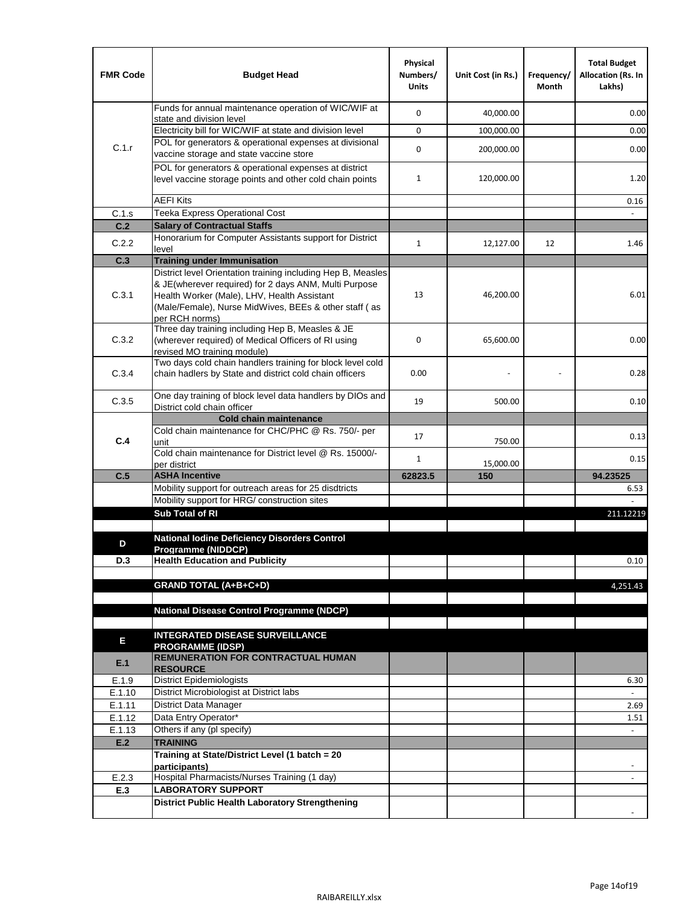| <b>FMR Code</b>  | <b>Budget Head</b>                                                                                                                                                              | Physical<br>Numbers/<br><b>Units</b> | Unit Cost (in Rs.) | Frequency/<br>Month | <b>Total Budget</b><br>Allocation (Rs. In<br>Lakhs) |
|------------------|---------------------------------------------------------------------------------------------------------------------------------------------------------------------------------|--------------------------------------|--------------------|---------------------|-----------------------------------------------------|
|                  | Funds for annual maintenance operation of WIC/WIF at<br>state and division level                                                                                                | 0                                    | 40,000.00          |                     | 0.00                                                |
|                  | Electricity bill for WIC/WIF at state and division level                                                                                                                        | 0                                    | 100,000.00         |                     | 0.00                                                |
| C.1.r            | POL for generators & operational expenses at divisional                                                                                                                         |                                      |                    |                     |                                                     |
|                  | vaccine storage and state vaccine store                                                                                                                                         | 0                                    | 200,000.00         |                     | 0.00                                                |
|                  | POL for generators & operational expenses at district<br>level vaccine storage points and other cold chain points                                                               | $\mathbf{1}$                         | 120,000.00         |                     | 1.20                                                |
|                  | <b>AEFI Kits</b>                                                                                                                                                                |                                      |                    |                     | 0.16                                                |
| C.1.s            | Teeka Express Operational Cost                                                                                                                                                  |                                      |                    |                     |                                                     |
| C.2              | <b>Salary of Contractual Staffs</b>                                                                                                                                             |                                      |                    |                     |                                                     |
| C.2.2            | Honorarium for Computer Assistants support for District                                                                                                                         | $\mathbf{1}$                         | 12,127.00          | 12                  | 1.46                                                |
| C.3              | level<br><b>Training under Immunisation</b>                                                                                                                                     |                                      |                    |                     |                                                     |
|                  | District level Orientation training including Hep B, Measles                                                                                                                    |                                      |                    |                     |                                                     |
| C.3.1            | & JE(wherever required) for 2 days ANM, Multi Purpose<br>Health Worker (Male), LHV, Health Assistant<br>(Male/Female), Nurse MidWives, BEEs & other staff (as<br>per RCH norms) | 13                                   | 46,200.00          |                     | 6.01                                                |
| C.3.2            | Three day training including Hep B, Measles & JE<br>(wherever required) of Medical Officers of RI using<br>revised MO training module)                                          | 0                                    | 65,600.00          |                     | 0.00                                                |
| C.3.4            | Two days cold chain handlers training for block level cold<br>chain hadlers by State and district cold chain officers                                                           | 0.00                                 |                    |                     | 0.28                                                |
| C.3.5            | One day training of block level data handlers by DIOs and<br>District cold chain officer                                                                                        | 19                                   | 500.00             |                     | 0.10                                                |
|                  | <b>Cold chain maintenance</b>                                                                                                                                                   |                                      |                    |                     |                                                     |
| C.4              | Cold chain maintenance for CHC/PHC @ Rs. 750/- per<br>unit                                                                                                                      | 17                                   | 750.00             |                     | 0.13                                                |
|                  | Cold chain maintenance for District level @ Rs. 15000/-<br>per district                                                                                                         | 1                                    | 15,000.00          |                     | 0.15                                                |
| C.5              | <b>ASHA Incentive</b>                                                                                                                                                           | 62823.5                              | 150                |                     | 94.23525                                            |
|                  | Mobility support for outreach areas for 25 disdtricts                                                                                                                           |                                      |                    |                     | 6.53                                                |
|                  | Mobility support for HRG/ construction sites                                                                                                                                    |                                      |                    |                     |                                                     |
|                  | Sub Total of RI                                                                                                                                                                 |                                      |                    |                     | 211.12219                                           |
| D                | <b>National lodine Deficiency Disorders Control</b>                                                                                                                             |                                      |                    |                     |                                                     |
| D.3              | Programme (NIDDCP)<br><b>Health Education and Publicity</b>                                                                                                                     |                                      |                    |                     | 0.10                                                |
|                  |                                                                                                                                                                                 |                                      |                    |                     |                                                     |
|                  | <b>GRAND TOTAL (A+B+C+D)</b>                                                                                                                                                    |                                      |                    |                     | 4,251.43                                            |
|                  |                                                                                                                                                                                 |                                      |                    |                     |                                                     |
|                  | National Disease Control Programme (NDCP)                                                                                                                                       |                                      |                    |                     |                                                     |
|                  | <b>INTEGRATED DISEASE SURVEILLANCE</b>                                                                                                                                          |                                      |                    |                     |                                                     |
| Е                | <b>PROGRAMME (IDSP)</b>                                                                                                                                                         |                                      |                    |                     |                                                     |
| E.1              | <b>REMUNERATION FOR CONTRACTUAL HUMAN</b><br><b>RESOURCE</b>                                                                                                                    |                                      |                    |                     |                                                     |
| E.1.9            | District Epidemiologists                                                                                                                                                        |                                      |                    |                     | 6.30                                                |
| E.1.10           | District Microbiologist at District labs                                                                                                                                        |                                      |                    |                     |                                                     |
| E.1.11           | District Data Manager                                                                                                                                                           |                                      |                    |                     | 2.69                                                |
| E.1.12<br>E.1.13 | Data Entry Operator*<br>Others if any (pl specify)                                                                                                                              |                                      |                    |                     | 1.51<br>$\omega$                                    |
| E.2              | <b>TRAINING</b>                                                                                                                                                                 |                                      |                    |                     |                                                     |
|                  | Training at State/District Level (1 batch = 20                                                                                                                                  |                                      |                    |                     |                                                     |
|                  | participants)                                                                                                                                                                   |                                      |                    |                     |                                                     |
| E.2.3            | Hospital Pharmacists/Nurses Training (1 day)                                                                                                                                    |                                      |                    |                     |                                                     |
| E.3              | <b>LABORATORY SUPPORT</b>                                                                                                                                                       |                                      |                    |                     |                                                     |
|                  | <b>District Public Health Laboratory Strengthening</b>                                                                                                                          |                                      |                    |                     |                                                     |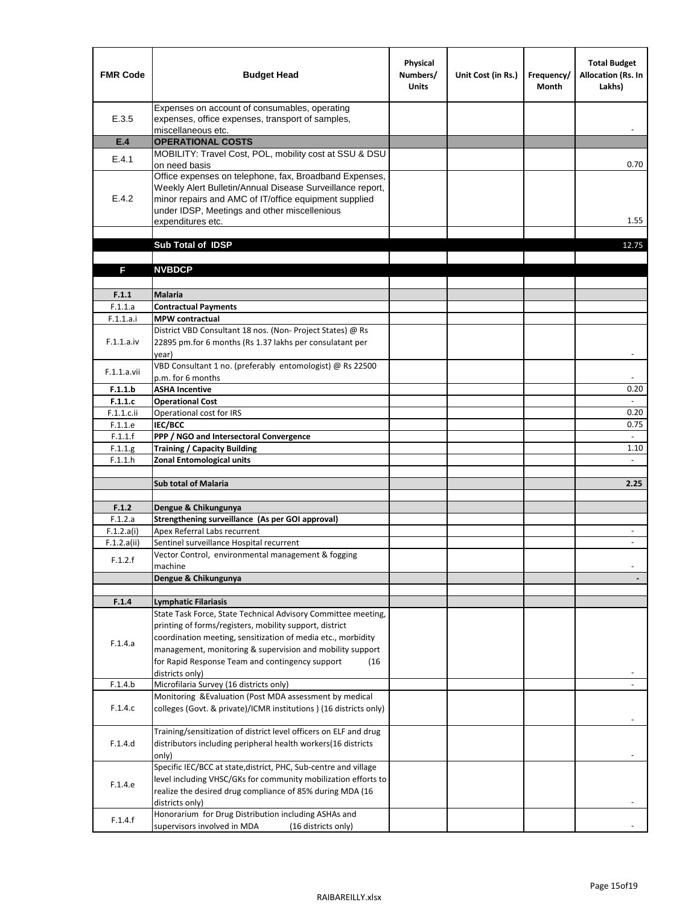| <b>FMR Code</b>    | <b>Budget Head</b>                                                                                                                                                                                                                                | Physical<br>Numbers/<br><b>Units</b> | Unit Cost (in Rs.) | Frequency/<br><b>Month</b> | <b>Total Budget</b><br><b>Allocation (Rs. In</b><br>Lakhs) |
|--------------------|---------------------------------------------------------------------------------------------------------------------------------------------------------------------------------------------------------------------------------------------------|--------------------------------------|--------------------|----------------------------|------------------------------------------------------------|
| E.3.5              | Expenses on account of consumables, operating<br>expenses, office expenses, transport of samples,<br>miscellaneous etc.                                                                                                                           |                                      |                    |                            |                                                            |
| E.4                | <b>OPERATIONAL COSTS</b>                                                                                                                                                                                                                          |                                      |                    |                            |                                                            |
| E.4.1              | MOBILITY: Travel Cost, POL, mobility cost at SSU & DSU                                                                                                                                                                                            |                                      |                    |                            |                                                            |
|                    | on need basis                                                                                                                                                                                                                                     |                                      |                    |                            | 0.70                                                       |
| E.4.2              | Office expenses on telephone, fax, Broadband Expenses,<br>Weekly Alert Bulletin/Annual Disease Surveillance report,<br>minor repairs and AMC of IT/office equipment supplied<br>under IDSP, Meetings and other miscellenious<br>expenditures etc. |                                      |                    |                            | 1.55                                                       |
|                    | Sub Total of IDSP                                                                                                                                                                                                                                 |                                      |                    |                            | 12.75                                                      |
|                    |                                                                                                                                                                                                                                                   |                                      |                    |                            |                                                            |
| F                  | <b>NVBDCP</b>                                                                                                                                                                                                                                     |                                      |                    |                            |                                                            |
|                    |                                                                                                                                                                                                                                                   |                                      |                    |                            |                                                            |
| F.1.1              | <b>Malaria</b>                                                                                                                                                                                                                                    |                                      |                    |                            |                                                            |
| F.1.1.a            | <b>Contractual Payments</b>                                                                                                                                                                                                                       |                                      |                    |                            |                                                            |
| F.1.1.a.i          | <b>MPW</b> contractual<br>District VBD Consultant 18 nos. (Non-Project States) @ Rs                                                                                                                                                               |                                      |                    |                            |                                                            |
| F.1.1.a.iv         | 22895 pm.for 6 months (Rs 1.37 lakhs per consulatant per<br>year)                                                                                                                                                                                 |                                      |                    |                            | $\overline{\phantom{a}}$                                   |
|                    | VBD Consultant 1 no. (preferably entomologist) @ Rs 22500                                                                                                                                                                                         |                                      |                    |                            |                                                            |
| F.1.1.a.vii        | p.m. for 6 months                                                                                                                                                                                                                                 |                                      |                    |                            |                                                            |
| F.1.1.b            | <b>ASHA Incentive</b>                                                                                                                                                                                                                             |                                      |                    |                            | 0.20                                                       |
| F.1.1.c            | <b>Operational Cost</b>                                                                                                                                                                                                                           |                                      |                    |                            |                                                            |
| F.1.1.c.ii         | Operational cost for IRS                                                                                                                                                                                                                          |                                      |                    |                            | 0.20                                                       |
| F.1.1.e<br>F.1.1.f | <b>IEC/BCC</b><br>PPP / NGO and Intersectoral Convergence                                                                                                                                                                                         |                                      |                    |                            | 0.75<br>$\mathbb{L}$                                       |
| F.1.1.g            | <b>Training / Capacity Building</b>                                                                                                                                                                                                               |                                      |                    |                            | 1.10                                                       |
| F.1.1.h            | <b>Zonal Entomological units</b>                                                                                                                                                                                                                  |                                      |                    |                            |                                                            |
|                    |                                                                                                                                                                                                                                                   |                                      |                    |                            |                                                            |
|                    | <b>Sub total of Malaria</b>                                                                                                                                                                                                                       |                                      |                    |                            | 2.25                                                       |
|                    |                                                                                                                                                                                                                                                   |                                      |                    |                            |                                                            |
| F.1.2<br>F.1.2.a   | Dengue & Chikungunya<br>Strengthening surveillance (As per GOI approval)                                                                                                                                                                          |                                      |                    |                            |                                                            |
| F.1.2.a(i)         | Apex Referral Labs recurrent                                                                                                                                                                                                                      |                                      |                    |                            |                                                            |
| F.1.2.a(ii)        | Sentinel surveillance Hospital recurrent                                                                                                                                                                                                          |                                      |                    |                            | $\sim$                                                     |
| F.1.2.f            | Vector Control, environmental management & fogging                                                                                                                                                                                                |                                      |                    |                            |                                                            |
|                    | machine                                                                                                                                                                                                                                           |                                      |                    |                            |                                                            |
|                    | Dengue & Chikungunya                                                                                                                                                                                                                              |                                      |                    |                            |                                                            |
| F.1.4              | <b>Lymphatic Filariasis</b>                                                                                                                                                                                                                       |                                      |                    |                            |                                                            |
|                    | State Task Force, State Technical Advisory Committee meeting,                                                                                                                                                                                     |                                      |                    |                            |                                                            |
|                    | printing of forms/registers, mobility support, district                                                                                                                                                                                           |                                      |                    |                            |                                                            |
| F.1.4.a            | coordination meeting, sensitization of media etc., morbidity                                                                                                                                                                                      |                                      |                    |                            |                                                            |
|                    | management, monitoring & supervision and mobility support                                                                                                                                                                                         |                                      |                    |                            |                                                            |
|                    | for Rapid Response Team and contingency support<br>(16)                                                                                                                                                                                           |                                      |                    |                            |                                                            |
|                    | districts only)                                                                                                                                                                                                                                   |                                      |                    |                            |                                                            |
| F.1.4.b            | Microfilaria Survey (16 districts only)<br>Monitoring & Evaluation (Post MDA assessment by medical                                                                                                                                                |                                      |                    |                            |                                                            |
| F.1.4.c            | colleges (Govt. & private)/ICMR institutions ) (16 districts only)                                                                                                                                                                                |                                      |                    |                            |                                                            |
|                    | Training/sensitization of district level officers on ELF and drug                                                                                                                                                                                 |                                      |                    |                            |                                                            |
| F.1.4.d            | distributors including peripheral health workers(16 districts                                                                                                                                                                                     |                                      |                    |                            |                                                            |
|                    | only)                                                                                                                                                                                                                                             |                                      |                    |                            |                                                            |
|                    | Specific IEC/BCC at state, district, PHC, Sub-centre and village                                                                                                                                                                                  |                                      |                    |                            |                                                            |
| F.1.4.e            | level including VHSC/GKs for community mobilization efforts to                                                                                                                                                                                    |                                      |                    |                            |                                                            |
|                    | realize the desired drug compliance of 85% during MDA (16<br>districts only)                                                                                                                                                                      |                                      |                    |                            |                                                            |
|                    | Honorarium for Drug Distribution including ASHAs and                                                                                                                                                                                              |                                      |                    |                            |                                                            |
| F.1.4.f            | supervisors involved in MDA<br>(16 districts only)                                                                                                                                                                                                |                                      |                    |                            |                                                            |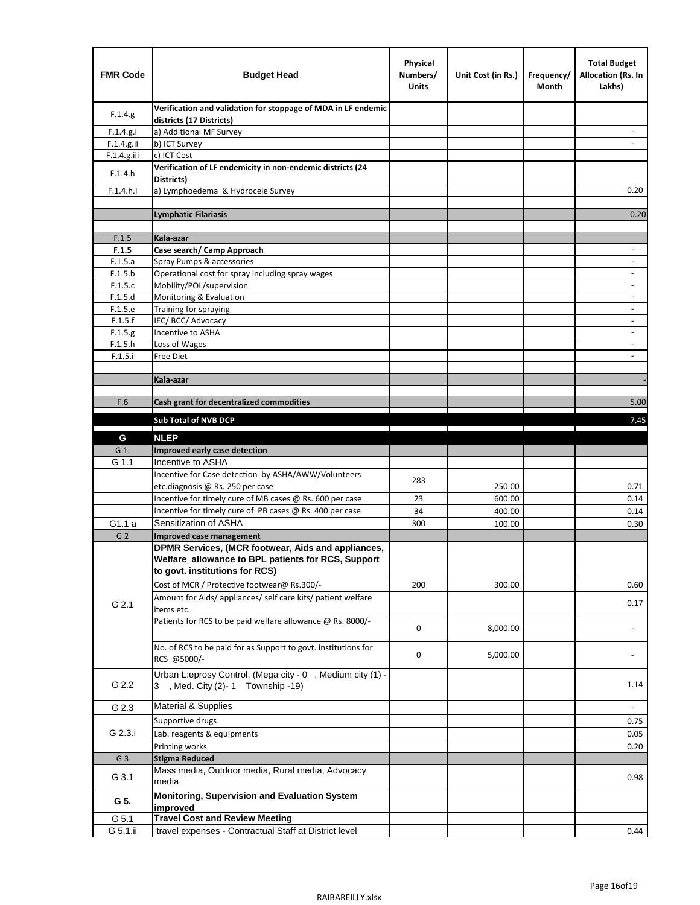| <b>FMR Code</b> | <b>Budget Head</b>                                                                                                                         | Physical<br>Numbers/<br><b>Units</b> | Unit Cost (in Rs.) | Frequency/<br>Month | <b>Total Budget</b><br><b>Allocation (Rs. In</b><br>Lakhs) |
|-----------------|--------------------------------------------------------------------------------------------------------------------------------------------|--------------------------------------|--------------------|---------------------|------------------------------------------------------------|
| F.1.4.g.        | Verification and validation for stoppage of MDA in LF endemic<br>districts (17 Districts)                                                  |                                      |                    |                     |                                                            |
| F.1.4.g.i       | a) Additional MF Survey                                                                                                                    |                                      |                    |                     |                                                            |
| F.1.4.g.ii      | b) ICT Survey                                                                                                                              |                                      |                    |                     |                                                            |
| $F.1.4.g.$ iii  | c) ICT Cost                                                                                                                                |                                      |                    |                     |                                                            |
| F.1.4.h         | Verification of LF endemicity in non-endemic districts (24<br>Districts)                                                                   |                                      |                    |                     |                                                            |
| F.1.4.h.i       | a) Lymphoedema & Hydrocele Survey                                                                                                          |                                      |                    |                     | 0.20                                                       |
|                 | Lymphatic Filariasis                                                                                                                       |                                      |                    |                     | 0.20                                                       |
|                 |                                                                                                                                            |                                      |                    |                     |                                                            |
| F.1.5           | Kala-azar                                                                                                                                  |                                      |                    |                     |                                                            |
| F.1.5           | Case search/ Camp Approach                                                                                                                 |                                      |                    |                     | $\overline{\phantom{a}}$                                   |
| F.1.5.a         | Spray Pumps & accessories                                                                                                                  |                                      |                    |                     | $\blacksquare$                                             |
| F.1.5.b         | Operational cost for spray including spray wages                                                                                           |                                      |                    |                     |                                                            |
| F.1.5.c         | Mobility/POL/supervision                                                                                                                   |                                      |                    |                     | $\overline{\phantom{a}}$                                   |
| F.1.5.d         | Monitoring & Evaluation                                                                                                                    |                                      |                    |                     |                                                            |
| F.1.5.e         | Training for spraying                                                                                                                      |                                      |                    |                     | $\blacksquare$                                             |
| F.1.5.f         | IEC/BCC/Advocacy                                                                                                                           |                                      |                    |                     | $\overline{a}$                                             |
| F.1.5.g         | Incentive to ASHA                                                                                                                          |                                      |                    |                     | $\overline{\phantom{a}}$                                   |
| F.1.5.h         | Loss of Wages                                                                                                                              |                                      |                    |                     | $\qquad \qquad \blacksquare$                               |
| F.1.5.i         | Free Diet                                                                                                                                  |                                      |                    |                     |                                                            |
|                 |                                                                                                                                            |                                      |                    |                     |                                                            |
|                 | Kala-azar                                                                                                                                  |                                      |                    |                     |                                                            |
| F.6             | Cash grant for decentralized commodities                                                                                                   |                                      |                    |                     | 5.00                                                       |
|                 |                                                                                                                                            |                                      |                    |                     |                                                            |
|                 | <b>Sub Total of NVB DCP</b>                                                                                                                |                                      |                    |                     | 7.45                                                       |
| G               | <b>NLEP</b>                                                                                                                                |                                      |                    |                     |                                                            |
| G 1.            | Improved early case detection                                                                                                              |                                      |                    |                     |                                                            |
| G 1.1           | Incentive to ASHA                                                                                                                          |                                      |                    |                     |                                                            |
|                 | Incentive for Case detection by ASHA/AWW/Volunteers                                                                                        | 283                                  |                    |                     |                                                            |
|                 | etc.diagnosis @ Rs. 250 per case                                                                                                           |                                      | 250.00             |                     | 0.71                                                       |
|                 | Incentive for timely cure of MB cases @ Rs. 600 per case                                                                                   | 23                                   | 600.00             |                     | 0.14                                                       |
|                 | Incentive for timely cure of PB cases @ Rs. 400 per case                                                                                   | 34                                   | 400.00             |                     | 0.14                                                       |
| G1.1 a          | Sensitization of ASHA                                                                                                                      | 300                                  | 100.00             |                     | 0.30                                                       |
| G <sub>2</sub>  | <b>Improved case management</b>                                                                                                            |                                      |                    |                     |                                                            |
|                 | DPMR Services, (MCR footwear, Aids and appliances,<br>Welfare allowance to BPL patients for RCS, Support<br>to govt. institutions for RCS) |                                      |                    |                     |                                                            |
|                 | Cost of MCR / Protective footwear@ Rs.300/-                                                                                                | 200                                  | 300.00             |                     | 0.60                                                       |
| G 2.1           | Amount for Aids/ appliances/ self care kits/ patient welfare<br>items etc.                                                                 |                                      |                    |                     | 0.17                                                       |
|                 | Patients for RCS to be paid welfare allowance @ Rs. 8000/-                                                                                 | 0                                    | 8,000.00           |                     |                                                            |
|                 | No. of RCS to be paid for as Support to govt. institutions for<br>RCS @5000/-                                                              | 0                                    | 5,000.00           |                     |                                                            |
| G 2.2           | Urban L:eprosy Control, (Mega city - 0, Medium city (1) -<br>3 , Med. City (2)-1 Township -19)                                             |                                      |                    |                     | 1.14                                                       |
| G 2.3           | Material & Supplies                                                                                                                        |                                      |                    |                     | $\sim$                                                     |
| G 2.3.i         | Supportive drugs                                                                                                                           |                                      |                    |                     | 0.75                                                       |
|                 | Lab. reagents & equipments                                                                                                                 |                                      |                    |                     | 0.05                                                       |
|                 | Printing works                                                                                                                             |                                      |                    |                     | 0.20                                                       |
| G <sub>3</sub>  | <b>Stigma Reduced</b>                                                                                                                      |                                      |                    |                     |                                                            |
|                 | Mass media, Outdoor media, Rural media, Advocacy                                                                                           |                                      |                    |                     |                                                            |
| G 3.1           | media<br>Monitoring, Supervision and Evaluation System                                                                                     |                                      |                    |                     | 0.98                                                       |
| G 5.            | improved                                                                                                                                   |                                      |                    |                     |                                                            |
| G 5.1           | <b>Travel Cost and Review Meeting</b>                                                                                                      |                                      |                    |                     |                                                            |
| G 5.1.ii        | travel expenses - Contractual Staff at District level                                                                                      |                                      |                    |                     | 0.44                                                       |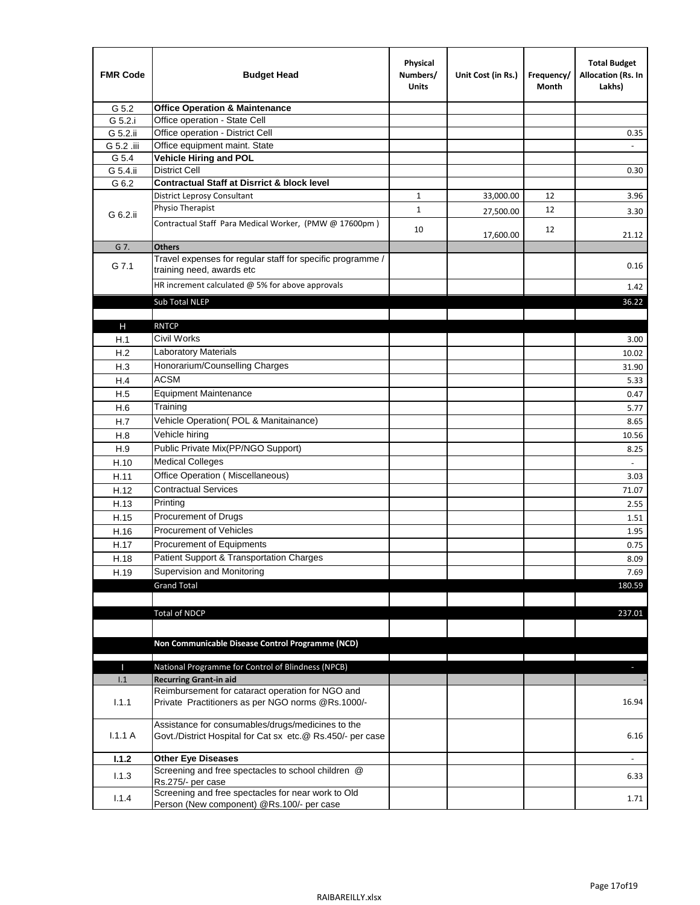| <b>FMR Code</b> | <b>Budget Head</b>                                                                                              | Physical<br>Numbers/<br><b>Units</b> | Unit Cost (in Rs.) | Frequency/<br>Month | <b>Total Budget</b><br>Allocation (Rs. In<br>Lakhs) |
|-----------------|-----------------------------------------------------------------------------------------------------------------|--------------------------------------|--------------------|---------------------|-----------------------------------------------------|
| G 5.2           | <b>Office Operation &amp; Maintenance</b>                                                                       |                                      |                    |                     |                                                     |
| G 5.2.i         | Office operation - State Cell                                                                                   |                                      |                    |                     |                                                     |
| G 5.2.ii        | Office operation - District Cell                                                                                |                                      |                    |                     | 0.35                                                |
| G 5.2 .iii      | Office equipment maint. State                                                                                   |                                      |                    |                     |                                                     |
| G 5.4           | Vehicle Hiring and POL                                                                                          |                                      |                    |                     |                                                     |
| G 5.4.ii        | <b>District Cell</b>                                                                                            |                                      |                    |                     | 0.30                                                |
| G 6.2           | <b>Contractual Staff at Disrrict &amp; block level</b>                                                          |                                      |                    |                     |                                                     |
|                 | <b>District Leprosy Consultant</b>                                                                              | 1                                    | 33,000.00          | 12                  | 3.96                                                |
| G 6.2.ii        | Physio Therapist                                                                                                | $\mathbf{1}$                         | 27,500.00          | 12                  | 3.30                                                |
|                 | Contractual Staff Para Medical Worker, (PMW @ 17600pm)                                                          | 10                                   | 17,600.00          | 12                  | 21.12                                               |
| G 7.            | <b>Others</b>                                                                                                   |                                      |                    |                     |                                                     |
| G 7.1           | Travel expenses for regular staff for specific programme /<br>training need, awards etc                         |                                      |                    |                     | 0.16                                                |
|                 | HR increment calculated $\omega$ 5% for above approvals                                                         |                                      |                    |                     | 1.42                                                |
|                 | Sub Total NLEP                                                                                                  |                                      |                    |                     | 36.22                                               |
|                 |                                                                                                                 |                                      |                    |                     |                                                     |
| Н               | <b>RNTCP</b>                                                                                                    |                                      |                    |                     |                                                     |
| H.1             | Civil Works                                                                                                     |                                      |                    |                     | 3.00                                                |
| H.2             | Laboratory Materials                                                                                            |                                      |                    |                     | 10.02                                               |
| H.3             | Honorarium/Counselling Charges                                                                                  |                                      |                    |                     | 31.90                                               |
| H.4             | <b>ACSM</b>                                                                                                     |                                      |                    |                     | 5.33                                                |
| H.5             | <b>Equipment Maintenance</b>                                                                                    |                                      |                    |                     | 0.47                                                |
| H.6             | Training                                                                                                        |                                      |                    |                     | 5.77                                                |
| H.7             | Vehicle Operation(POL & Manitainance)                                                                           |                                      |                    |                     | 8.65                                                |
| H.8             | Vehicle hiring                                                                                                  |                                      |                    |                     | 10.56                                               |
| H.9             | Public Private Mix(PP/NGO Support)                                                                              |                                      |                    |                     | 8.25                                                |
| H.10            | <b>Medical Colleges</b>                                                                                         |                                      |                    |                     | $\sim$                                              |
| H.11            | Office Operation (Miscellaneous)                                                                                |                                      |                    |                     | 3.03                                                |
| H.12            | <b>Contractual Services</b>                                                                                     |                                      |                    |                     | 71.07                                               |
| H.13            | Printing                                                                                                        |                                      |                    |                     | 2.55                                                |
| H.15            | Procurement of Drugs                                                                                            |                                      |                    |                     | 1.51                                                |
| H.16            | Procurement of Vehicles                                                                                         |                                      |                    |                     | 1.95                                                |
| H.17            | Procurement of Equipments                                                                                       |                                      |                    |                     | 0.75                                                |
| H.18            | Patient Support & Transportation Charges                                                                        |                                      |                    |                     | 8.09                                                |
| H.19            | Supervision and Monitoring                                                                                      |                                      |                    |                     | 7.69                                                |
|                 | <b>Grand Total</b>                                                                                              |                                      |                    |                     | 180.59                                              |
|                 |                                                                                                                 |                                      |                    |                     |                                                     |
|                 | <b>Total of NDCP</b>                                                                                            |                                      |                    |                     | 237.01                                              |
|                 | Non Communicable Disease Control Programme (NCD)                                                                |                                      |                    |                     |                                                     |
| Т               | National Programme for Control of Blindness (NPCB)                                                              |                                      |                    |                     | ÷.                                                  |
| 1.1             | <b>Recurring Grant-in aid</b>                                                                                   |                                      |                    |                     |                                                     |
|                 | Reimbursement for cataract operation for NGO and                                                                |                                      |                    |                     |                                                     |
| 1.1.1           | Private Practitioners as per NGO norms @Rs.1000/-                                                               |                                      |                    |                     | 16.94                                               |
| 1.1.1A          | Assistance for consumables/drugs/medicines to the<br>Govt./District Hospital for Cat sx etc.@ Rs.450/- per case |                                      |                    |                     | 6.16                                                |
| 1.1.2           | <b>Other Eye Diseases</b>                                                                                       |                                      |                    |                     |                                                     |
| 1.1.3           | Screening and free spectacles to school children @                                                              |                                      |                    |                     | 6.33                                                |
|                 | Rs.275/- per case                                                                                               |                                      |                    |                     |                                                     |
| 1.1.4           | Screening and free spectacles for near work to Old<br>Person (New component) @Rs.100/- per case                 |                                      |                    |                     | 1.71                                                |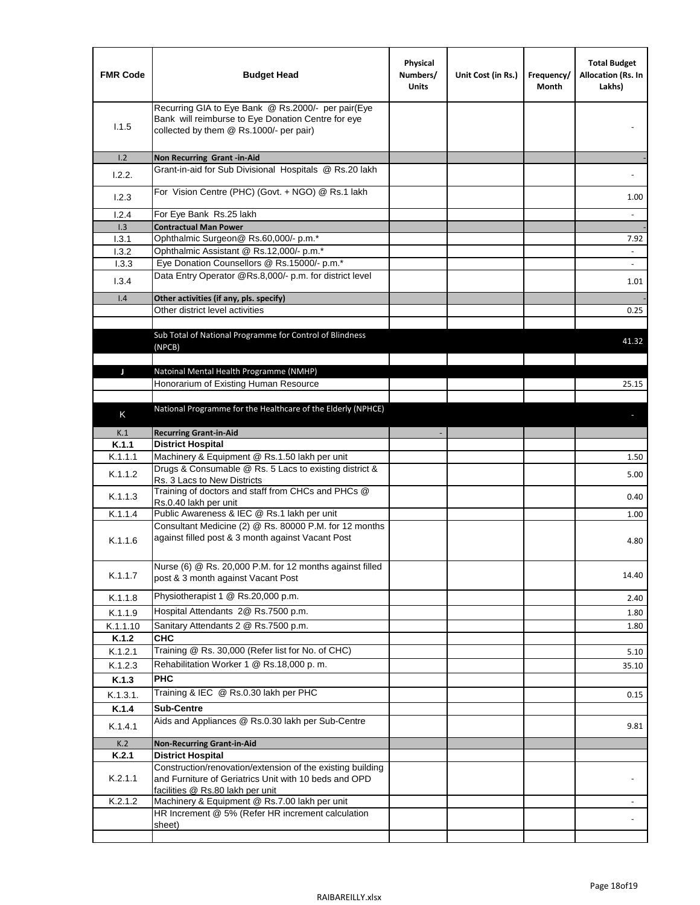| <b>FMR Code</b>  | <b>Budget Head</b>                                                                                                                                  | Physical<br>Numbers/<br><b>Units</b> | Unit Cost (in Rs.) | Frequency/<br>Month | <b>Total Budget</b><br>Allocation (Rs. In<br>Lakhs) |
|------------------|-----------------------------------------------------------------------------------------------------------------------------------------------------|--------------------------------------|--------------------|---------------------|-----------------------------------------------------|
| 1.1.5            | Recurring GIA to Eye Bank @ Rs.2000/- per pair(Eye<br>Bank will reimburse to Eye Donation Centre for eye<br>collected by them @ Rs.1000/- per pair) |                                      |                    |                     |                                                     |
| 1.2              | Non Recurring Grant -in-Aid                                                                                                                         |                                      |                    |                     |                                                     |
| 1.2.2.           | Grant-in-aid for Sub Divisional Hospitals @ Rs.20 lakh                                                                                              |                                      |                    |                     |                                                     |
| 1.2.3            | For Vision Centre (PHC) (Govt. + NGO) @ Rs.1 lakh                                                                                                   |                                      |                    |                     | 1.00                                                |
| 1.2.4            | For Eye Bank Rs.25 lakh                                                                                                                             |                                      |                    |                     | $\blacksquare$                                      |
| 1.3              | <b>Contractual Man Power</b>                                                                                                                        |                                      |                    |                     |                                                     |
| 1.3.1<br>1.3.2   | Ophthalmic Surgeon@ Rs.60,000/- p.m.*<br>Ophthalmic Assistant @ Rs.12,000/- p.m.*                                                                   |                                      |                    |                     | 7.92                                                |
| 1.3.3            | Eye Donation Counsellors @ Rs.15000/- p.m.*                                                                                                         |                                      |                    |                     | $\sim$                                              |
|                  | Data Entry Operator @Rs.8,000/- p.m. for district level                                                                                             |                                      |                    |                     |                                                     |
| 1.3.4            |                                                                                                                                                     |                                      |                    |                     | 1.01                                                |
| 1.4              | Other activities (if any, pls. specify)<br>Other district level activities                                                                          |                                      |                    |                     |                                                     |
|                  |                                                                                                                                                     |                                      |                    |                     | 0.25                                                |
|                  | Sub Total of National Programme for Control of Blindness<br>(NPCB)                                                                                  |                                      |                    |                     | 41.32                                               |
| J                | Natoinal Mental Health Programme (NMHP)                                                                                                             |                                      |                    |                     |                                                     |
|                  | Honorarium of Existing Human Resource                                                                                                               |                                      |                    |                     | 25.15                                               |
|                  |                                                                                                                                                     |                                      |                    |                     |                                                     |
| K                | National Programme for the Healthcare of the Elderly (NPHCE)                                                                                        |                                      |                    |                     |                                                     |
|                  |                                                                                                                                                     |                                      |                    |                     |                                                     |
| K.1<br>K.1.1     | <b>Recurring Grant-in-Aid</b><br><b>District Hospital</b>                                                                                           |                                      |                    |                     |                                                     |
| K.1.1.1          | Machinery & Equipment @ Rs.1.50 lakh per unit                                                                                                       |                                      |                    |                     | 1.50                                                |
| K.1.1.2          | Drugs & Consumable @ Rs. 5 Lacs to existing district &<br>Rs. 3 Lacs to New Districts                                                               |                                      |                    |                     | 5.00                                                |
| K.1.1.3          | Training of doctors and staff from CHCs and PHCs @<br>Rs.0.40 lakh per unit                                                                         |                                      |                    |                     | 0.40                                                |
| K.1.1.4          | Public Awareness & IEC @ Rs.1 lakh per unit                                                                                                         |                                      |                    |                     | 1.00                                                |
| K.1.1.6          | Consultant Medicine (2) @ Rs. 80000 P.M. for 12 months<br>against filled post & 3 month against Vacant Post                                         |                                      |                    |                     | 4.80                                                |
| K.1.1.7          | Nurse (6) @ Rs. 20,000 P.M. for 12 months against filled<br>post & 3 month against Vacant Post                                                      |                                      |                    |                     | 14.40                                               |
| K.1.1.8          | Physiotherapist 1 @ Rs.20,000 p.m.                                                                                                                  |                                      |                    |                     | 2.40                                                |
| K.1.1.9          | Hospital Attendants 2@ Rs.7500 p.m.                                                                                                                 |                                      |                    |                     | 1.80                                                |
| K.1.1.10         | Sanitary Attendants 2 @ Rs.7500 p.m.                                                                                                                |                                      |                    |                     | 1.80                                                |
| K.1.2            | <b>CHC</b>                                                                                                                                          |                                      |                    |                     |                                                     |
| K.1.2.1          | Training @ Rs. 30,000 (Refer list for No. of CHC)                                                                                                   |                                      |                    |                     | 5.10                                                |
| K.1.2.3          | Rehabilitation Worker 1 @ Rs.18,000 p.m.                                                                                                            |                                      |                    |                     | 35.10                                               |
| K.1.3            | <b>PHC</b>                                                                                                                                          |                                      |                    |                     |                                                     |
| K.1.3.1.         | Training & IEC @ Rs.0.30 lakh per PHC                                                                                                               |                                      |                    |                     | 0.15                                                |
| K.1.4            | <b>Sub-Centre</b>                                                                                                                                   |                                      |                    |                     |                                                     |
| K.1.4.1          | Aids and Appliances @ Rs.0.30 lakh per Sub-Centre                                                                                                   |                                      |                    |                     | 9.81                                                |
| K.2              | <b>Non-Recurring Grant-in-Aid</b>                                                                                                                   |                                      |                    |                     |                                                     |
| K.2.1<br>K.2.1.1 | <b>District Hospital</b><br>Construction/renovation/extension of the existing building<br>and Furniture of Geriatrics Unit with 10 beds and OPD     |                                      |                    |                     |                                                     |
| K.2.1.2          | facilities @ Rs.80 lakh per unit<br>Machinery & Equipment @ Rs.7.00 lakh per unit                                                                   |                                      |                    |                     |                                                     |
|                  | HR Increment @ 5% (Refer HR increment calculation                                                                                                   |                                      |                    |                     |                                                     |
|                  | sheet)                                                                                                                                              |                                      |                    |                     |                                                     |